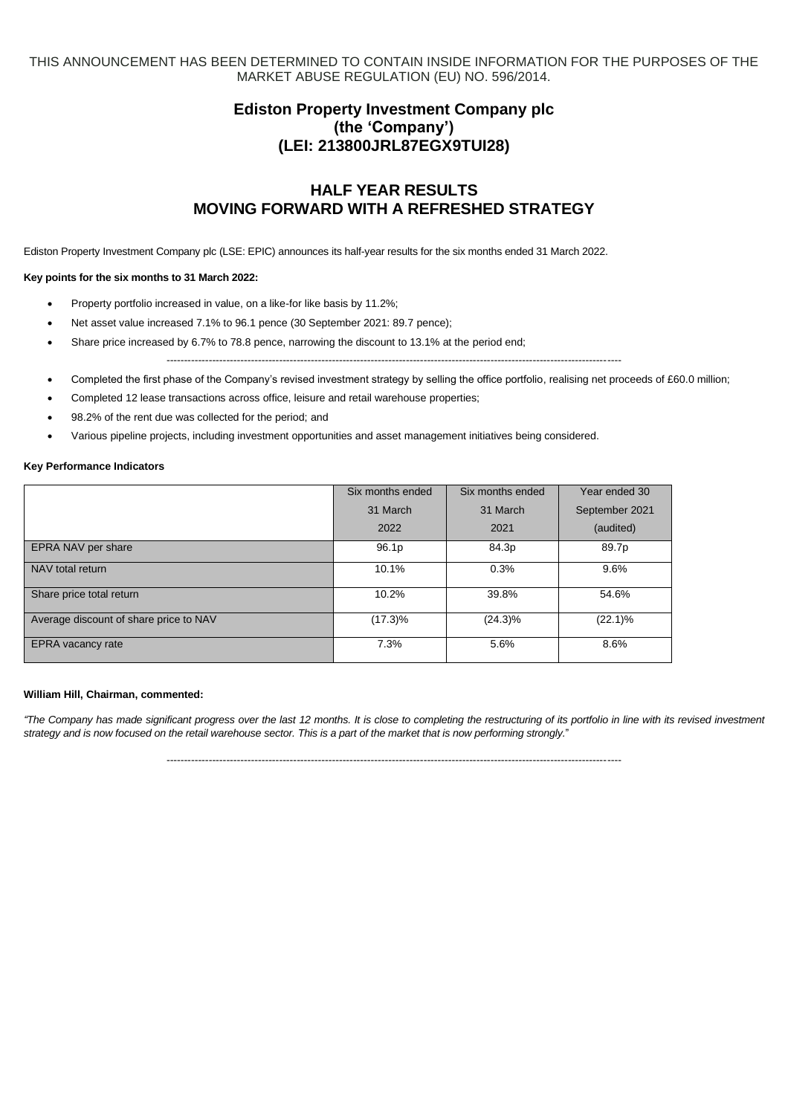THIS ANNOUNCEMENT HAS BEEN DETERMINED TO CONTAIN INSIDE INFORMATION FOR THE PURPOSES OF THE MARKET ABUSE REGULATION (EU) NO. 596/2014.

# **Ediston Property Investment Company plc (the 'Company') (LEI: 213800JRL87EGX9TUI28)**

# **HALF YEAR RESULTS MOVING FORWARD WITH A REFRESHED STRATEGY**

Ediston Property Investment Company plc (LSE: EPIC) announces its half-year results for the six months ended 31 March 2022.

#### **Key points for the six months to 31 March 2022:**

- Property portfolio increased in value, on a like-for like basis by 11.2%;
- Net asset value increased 7.1% to 96.1 pence (30 September 2021: 89.7 pence);
- Share price increased by 6.7% to 78.8 pence, narrowing the discount to 13.1% at the period end; ---------------------------------------------------------------------------------------------------------------------------------
- Completed the first phase of the Company's revised investment strategy by selling the office portfolio, realising net proceeds of £60.0 million;
- Completed 12 lease transactions across office, leisure and retail warehouse properties;
- 98.2% of the rent due was collected for the period; and
- Various pipeline projects, including investment opportunities and asset management initiatives being considered.

#### **Key Performance Indicators**

|                                        | Six months ended | Six months ended | Year ended 30  |
|----------------------------------------|------------------|------------------|----------------|
|                                        | 31 March         | 31 March         | September 2021 |
|                                        | 2022             | 2021             | (audited)      |
| EPRA NAV per share                     | 96.1p            | 84.3p            | 89.7p          |
| NAV total return                       | 10.1%            | 0.3%             | 9.6%           |
| Share price total return               | 10.2%            | 39.8%            | 54.6%          |
| Average discount of share price to NAV | $(17.3)\%$       | $(24.3)\%$       | $(22.1)\%$     |
| EPRA vacancy rate                      | 7.3%             | 5.6%             | 8.6%           |

#### **William Hill, Chairman, commented:**

*"The Company has made significant progress over the last 12 months. It is close to completing the restructuring of its portfolio in line with its revised investment strategy and is now focused on the retail warehouse sector. This is a part of the market that is now performing strongly.*"

---------------------------------------------------------------------------------------------------------------------------------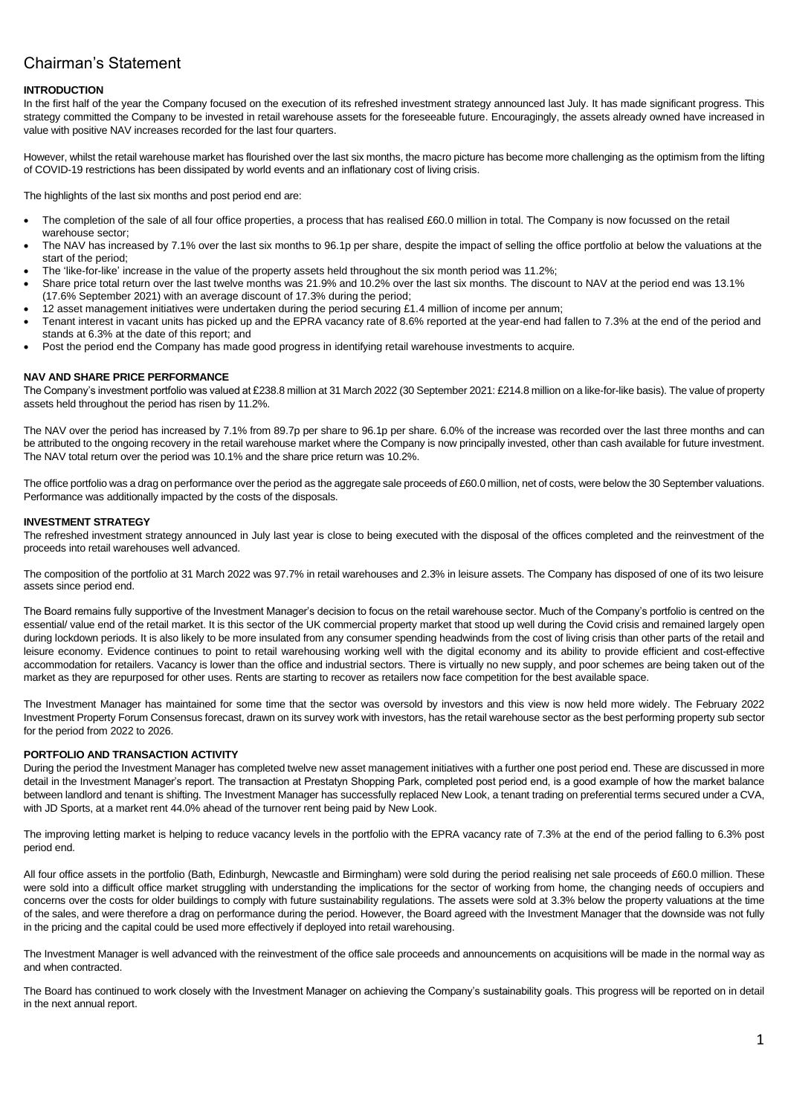# Chairman's Statement

### **INTRODUCTION**

In the first half of the year the Company focused on the execution of its refreshed investment strategy announced last July. It has made significant progress. This strategy committed the Company to be invested in retail warehouse assets for the foreseeable future. Encouragingly, the assets already owned have increased in value with positive NAV increases recorded for the last four quarters.

However, whilst the retail warehouse market has flourished over the last six months, the macro picture has become more challenging as the optimism from the lifting of COVID-19 restrictions has been dissipated by world events and an inflationary cost of living crisis.

The highlights of the last six months and post period end are:

- The completion of the sale of all four office properties, a process that has realised £60.0 million in total. The Company is now focussed on the retail warehouse sector;
- The NAV has increased by 7.1% over the last six months to 96.1p per share, despite the impact of selling the office portfolio at below the valuations at the start of the period;
- The 'like-for-like' increase in the value of the property assets held throughout the six month period was 11.2%;
- Share price total return over the last twelve months was 21.9% and 10.2% over the last six months. The discount to NAV at the period end was 13.1% (17.6% September 2021) with an average discount of 17.3% during the period;
- 12 asset management initiatives were undertaken during the period securing £1.4 million of income per annum;
- Tenant interest in vacant units has picked up and the EPRA vacancy rate of 8.6% reported at the year-end had fallen to 7.3% at the end of the period and stands at 6.3% at the date of this report; and
- Post the period end the Company has made good progress in identifying retail warehouse investments to acquire.

#### **NAV AND SHARE PRICE PERFORMANCE**

The Company's investment portfolio was valued at £238.8 million at 31 March 2022 (30 September 2021: £214.8 million on a like-for-like basis). The value of property assets held throughout the period has risen by 11.2%.

The NAV over the period has increased by 7.1% from 89.7p per share to 96.1p per share. 6.0% of the increase was recorded over the last three months and can be attributed to the ongoing recovery in the retail warehouse market where the Company is now principally invested, other than cash available for future investment. The NAV total return over the period was 10.1% and the share price return was 10.2%.

The office portfolio was a drag on performance over the period as the aggregate sale proceeds of £60.0 million, net of costs, were below the 30 September valuations. Performance was additionally impacted by the costs of the disposals.

#### **INVESTMENT STRATEGY**

The refreshed investment strategy announced in July last year is close to being executed with the disposal of the offices completed and the reinvestment of the proceeds into retail warehouses well advanced.

The composition of the portfolio at 31 March 2022 was 97.7% in retail warehouses and 2.3% in leisure assets. The Company has disposed of one of its two leisure assets since period end.

The Board remains fully supportive of the Investment Manager's decision to focus on the retail warehouse sector. Much of the Company's portfolio is centred on the essential/ value end of the retail market. It is this sector of the UK commercial property market that stood up well during the Covid crisis and remained largely open during lockdown periods. It is also likely to be more insulated from any consumer spending headwinds from the cost of living crisis than other parts of the retail and leisure economy. Evidence continues to point to retail warehousing working well with the digital economy and its ability to provide efficient and cost-effective accommodation for retailers. Vacancy is lower than the office and industrial sectors. There is virtually no new supply, and poor schemes are being taken out of the market as they are repurposed for other uses. Rents are starting to recover as retailers now face competition for the best available space.

The Investment Manager has maintained for some time that the sector was oversold by investors and this view is now held more widely. The February 2022 Investment Property Forum Consensus forecast, drawn on its survey work with investors, has the retail warehouse sector as the best performing property sub sector for the period from 2022 to 2026.

#### **PORTFOLIO AND TRANSACTION ACTIVITY**

During the period the Investment Manager has completed twelve new asset management initiatives with a further one post period end. These are discussed in more detail in the Investment Manager's report. The transaction at Prestatyn Shopping Park, completed post period end, is a good example of how the market balance between landlord and tenant is shifting. The Investment Manager has successfully replaced New Look, a tenant trading on preferential terms secured under a CVA, with JD Sports, at a market rent 44.0% ahead of the turnover rent being paid by New Look.

The improving letting market is helping to reduce vacancy levels in the portfolio with the EPRA vacancy rate of 7.3% at the end of the period falling to 6.3% post period end.

All four office assets in the portfolio (Bath, Edinburgh, Newcastle and Birmingham) were sold during the period realising net sale proceeds of £60.0 million. These were sold into a difficult office market struggling with understanding the implications for the sector of working from home, the changing needs of occupiers and concerns over the costs for older buildings to comply with future sustainability regulations. The assets were sold at 3.3% below the property valuations at the time of the sales, and were therefore a drag on performance during the period. However, the Board agreed with the Investment Manager that the downside was not fully in the pricing and the capital could be used more effectively if deployed into retail warehousing.

The Investment Manager is well advanced with the reinvestment of the office sale proceeds and announcements on acquisitions will be made in the normal way as and when contracted.

The Board has continued to work closely with the Investment Manager on achieving the Company's sustainability goals. This progress will be reported on in detail in the next annual report.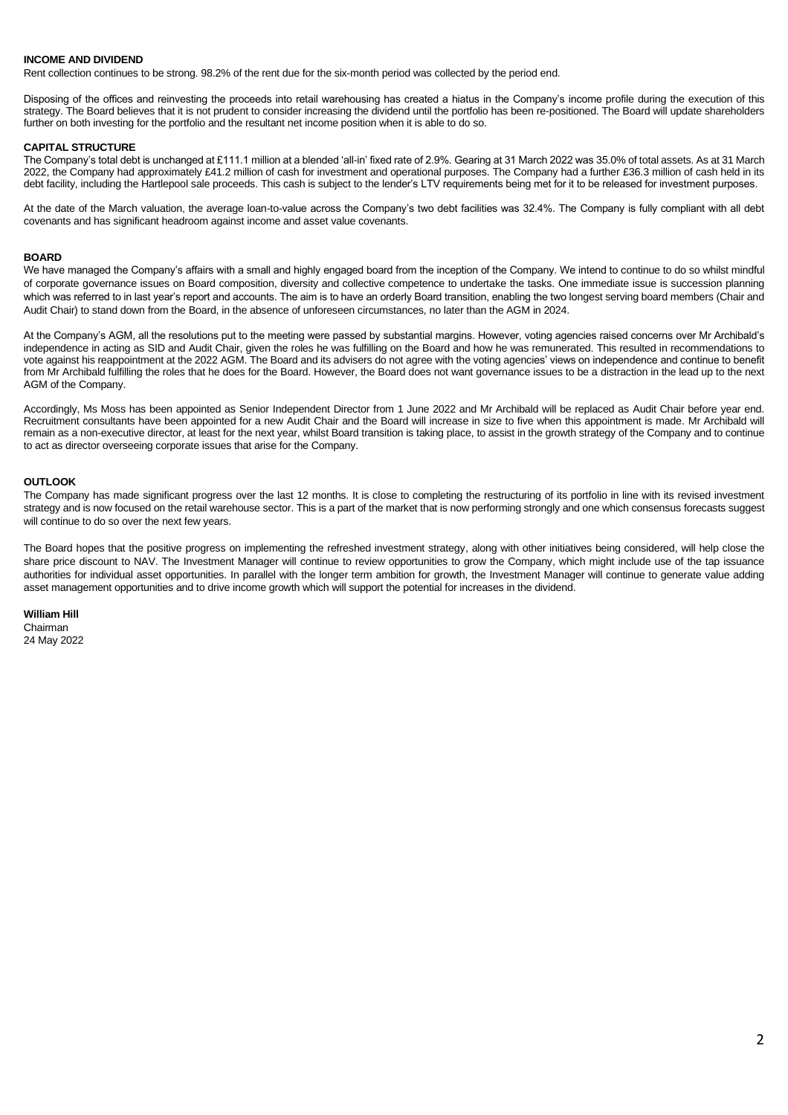#### **INCOME AND DIVIDEND**

Rent collection continues to be strong. 98.2% of the rent due for the six-month period was collected by the period end.

Disposing of the offices and reinvesting the proceeds into retail warehousing has created a hiatus in the Company's income profile during the execution of this strategy. The Board believes that it is not prudent to consider increasing the dividend until the portfolio has been re-positioned. The Board will update shareholders further on both investing for the portfolio and the resultant net income position when it is able to do so.

#### **CAPITAL STRUCTURE**

The Company's total debt is unchanged at £111.1 million at a blended 'all-in' fixed rate of 2.9%. Gearing at 31 March 2022 was 35.0% of total assets. As at 31 March 2022, the Company had approximately £41.2 million of cash for investment and operational purposes. The Company had a further £36.3 million of cash held in its debt facility, including the Hartlepool sale proceeds. This cash is subject to the lender's LTV requirements being met for it to be released for investment purposes.

At the date of the March valuation, the average loan-to-value across the Company's two debt facilities was 32.4%. The Company is fully compliant with all debt covenants and has significant headroom against income and asset value covenants.

#### **BOARD**

We have managed the Company's affairs with a small and highly engaged board from the inception of the Company. We intend to continue to do so whilst mindful of corporate governance issues on Board composition, diversity and collective competence to undertake the tasks. One immediate issue is succession planning which was referred to in last year's report and accounts. The aim is to have an orderly Board transition, enabling the two longest serving board members (Chair and Audit Chair) to stand down from the Board, in the absence of unforeseen circumstances, no later than the AGM in 2024.

At the Company's AGM, all the resolutions put to the meeting were passed by substantial margins. However, voting agencies raised concerns over Mr Archibald's independence in acting as SID and Audit Chair, given the roles he was fulfilling on the Board and how he was remunerated. This resulted in recommendations to vote against his reappointment at the 2022 AGM. The Board and its advisers do not agree with the voting agencies' views on independence and continue to benefit from Mr Archibald fulfilling the roles that he does for the Board. However, the Board does not want governance issues to be a distraction in the lead up to the next AGM of the Company.

Accordingly, Ms Moss has been appointed as Senior Independent Director from 1 June 2022 and Mr Archibald will be replaced as Audit Chair before year end. Recruitment consultants have been appointed for a new Audit Chair and the Board will increase in size to five when this appointment is made. Mr Archibald will remain as a non-executive director, at least for the next year, whilst Board transition is taking place, to assist in the growth strategy of the Company and to continue to act as director overseeing corporate issues that arise for the Company.

#### **OUTLOOK**

The Company has made significant progress over the last 12 months. It is close to completing the restructuring of its portfolio in line with its revised investment strategy and is now focused on the retail warehouse sector. This is a part of the market that is now performing strongly and one which consensus forecasts suggest will continue to do so over the next few years.

The Board hopes that the positive progress on implementing the refreshed investment strategy, along with other initiatives being considered, will help close the share price discount to NAV. The Investment Manager will continue to review opportunities to grow the Company, which might include use of the tap issuance authorities for individual asset opportunities. In parallel with the longer term ambition for growth, the Investment Manager will continue to generate value adding asset management opportunities and to drive income growth which will support the potential for increases in the dividend.

#### **William Hill**

Chairman 24 May 2022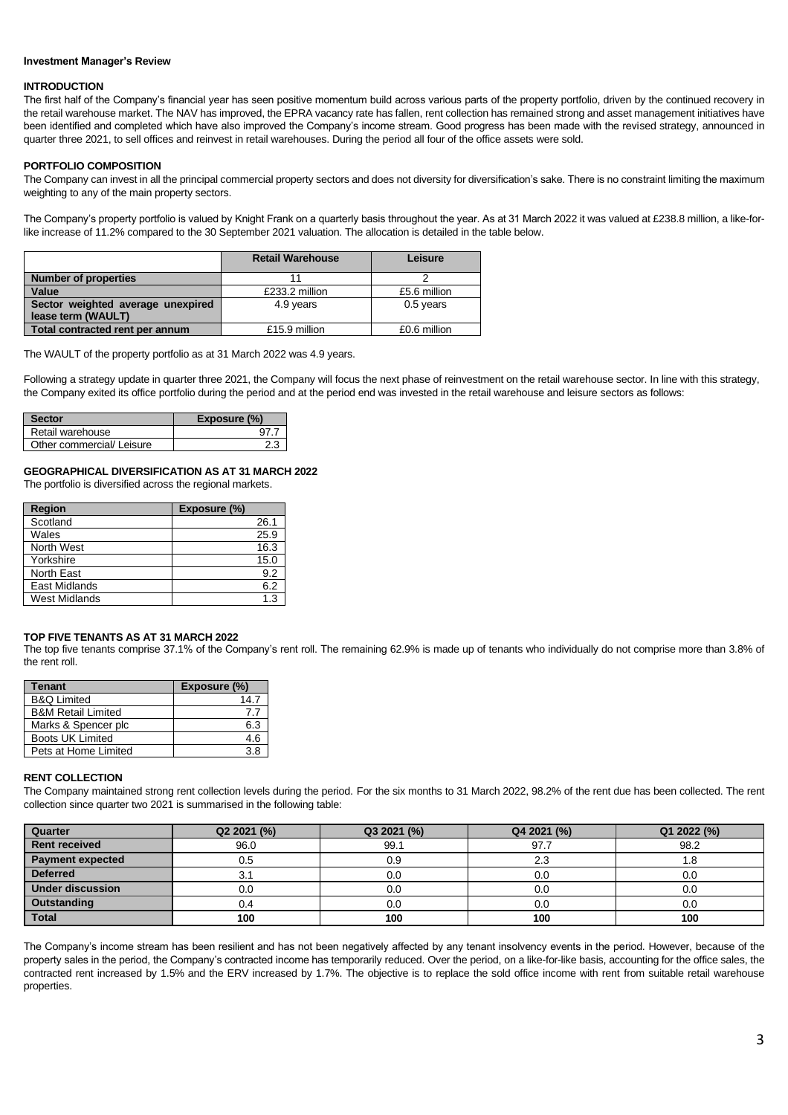#### **Investment Manager's Review**

#### **INTRODUCTION**

The first half of the Company's financial year has seen positive momentum build across various parts of the property portfolio, driven by the continued recovery in the retail warehouse market. The NAV has improved, the EPRA vacancy rate has fallen, rent collection has remained strong and asset management initiatives have been identified and completed which have also improved the Company's income stream. Good progress has been made with the revised strategy, announced in quarter three 2021, to sell offices and reinvest in retail warehouses. During the period all four of the office assets were sold.

#### **PORTFOLIO COMPOSITION**

The Company can invest in all the principal commercial property sectors and does not diversity for diversification's sake. There is no constraint limiting the maximum weighting to any of the main property sectors.

The Company's property portfolio is valued by Knight Frank on a quarterly basis throughout the year. As at 31 March 2022 it was valued at £238.8 million, a like-forlike increase of 11.2% compared to the 30 September 2021 valuation. The allocation is detailed in the table below.

|                                   | <b>Retail Warehouse</b> | Leisure      |
|-----------------------------------|-------------------------|--------------|
| <b>Number of properties</b>       |                         |              |
| Value                             | £233.2 million          | £5.6 million |
| Sector weighted average unexpired | 4.9 years               | 0.5 years    |
| lease term (WAULT)                |                         |              |
| Total contracted rent per annum   | £15.9 million           | £0.6 million |

The WAULT of the property portfolio as at 31 March 2022 was 4.9 years.

Following a strategy update in quarter three 2021, the Company will focus the next phase of reinvestment on the retail warehouse sector. In line with this strategy, the Company exited its office portfolio during the period and at the period end was invested in the retail warehouse and leisure sectors as follows:

| Sector                    | Exposure $(\%)$ |
|---------------------------|-----------------|
| Retail warehouse          |                 |
| Other commercial/ Leisure |                 |

# **GEOGRAPHICAL DIVERSIFICATION AS AT 31 MARCH 2022**

The portfolio is diversified across the regional markets.

| Region               | Exposure (%) |
|----------------------|--------------|
| Scotland             | 26.1         |
| Wales                | 25.9         |
| North West           | 16.3         |
| Yorkshire            | 15.0         |
| North East           | 9.2          |
| <b>East Midlands</b> | 6.2          |
| <b>West Midlands</b> | 1.3          |

#### **TOP FIVE TENANTS AS AT 31 MARCH 2022**

The top five tenants comprise 37.1% of the Company's rent roll. The remaining 62.9% is made up of tenants who individually do not comprise more than 3.8% of the rent roll.

| Tenant                        | Exposure (%) |
|-------------------------------|--------------|
| <b>B&amp;Q Limited</b>        | 14.7         |
| <b>B&amp;M Retail Limited</b> | 7.7          |
| Marks & Spencer plc           | 6.3          |
| Boots UK Limited              | 4.6          |
| Pets at Home Limited          | 3 R          |

### **RENT COLLECTION**

The Company maintained strong rent collection levels during the period. For the six months to 31 March 2022, 98.2% of the rent due has been collected. The rent collection since quarter two 2021 is summarised in the following table:

| Quarter                 | Q2 2021 (%) | Q3 2021 (%) | Q4 2021 (%) | Q1 2022 (%) |
|-------------------------|-------------|-------------|-------------|-------------|
| <b>Rent received</b>    | 96.0        | 99.1        | 97.7        | 98.2        |
| <b>Payment expected</b> | 0.5         | 0.9         | 2.3         |             |
| <b>Deferred</b>         | 3.1         | 0.0         | 0.0         | 0.0         |
| <b>Under discussion</b> | 0.C         | 0.0         | 0.0         | 0.0         |
| Outstanding             | 0.4         | 0.0         | 0.0         | 0.0         |
| Total                   | 100         | 100         | 100         | 100         |

The Company's income stream has been resilient and has not been negatively affected by any tenant insolvency events in the period. However, because of the property sales in the period, the Company's contracted income has temporarily reduced. Over the period, on a like-for-like basis, accounting for the office sales, the contracted rent increased by 1.5% and the ERV increased by 1.7%. The objective is to replace the sold office income with rent from suitable retail warehouse properties.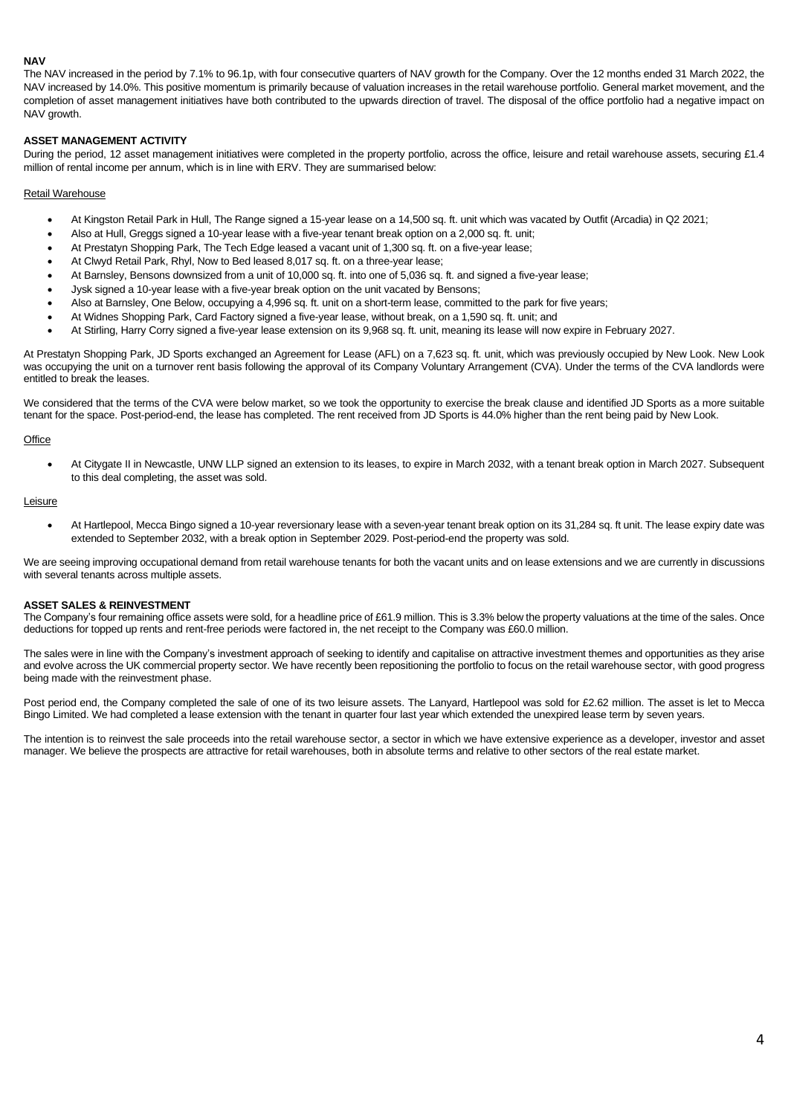### **NAV**

The NAV increased in the period by 7.1% to 96.1p, with four consecutive quarters of NAV growth for the Company. Over the 12 months ended 31 March 2022, the NAV increased by 14.0%. This positive momentum is primarily because of valuation increases in the retail warehouse portfolio. General market movement, and the completion of asset management initiatives have both contributed to the upwards direction of travel. The disposal of the office portfolio had a negative impact on NAV growth.

#### **ASSET MANAGEMENT ACTIVITY**

During the period, 12 asset management initiatives were completed in the property portfolio, across the office, leisure and retail warehouse assets, securing £1.4 million of rental income per annum, which is in line with ERV. They are summarised below:

#### Retail Warehouse

- At Kingston Retail Park in Hull, The Range signed a 15-year lease on a 14,500 sq. ft. unit which was vacated by Outfit (Arcadia) in Q2 2021;
- Also at Hull, Greggs signed a 10-year lease with a five-year tenant break option on a 2,000 sq. ft. unit;
- At Prestatyn Shopping Park, The Tech Edge leased a vacant unit of 1,300 sq. ft. on a five-year lease;
- At Clwyd Retail Park, Rhyl, Now to Bed leased 8,017 sq. ft. on a three-year lease;
- At Barnsley, Bensons downsized from a unit of 10,000 sq. ft. into one of 5,036 sq. ft. and signed a five-year lease;
- Jysk signed a 10-year lease with a five-year break option on the unit vacated by Bensons;
- Also at Barnsley, One Below, occupying a 4,996 sq. ft. unit on a short-term lease, committed to the park for five years;
- At Widnes Shopping Park, Card Factory signed a five-year lease, without break, on a 1,590 sq. ft. unit; and
- At Stirling, Harry Corry signed a five-year lease extension on its 9,968 sq. ft. unit, meaning its lease will now expire in February 2027.

At Prestatyn Shopping Park, JD Sports exchanged an Agreement for Lease (AFL) on a 7,623 sq. ft. unit, which was previously occupied by New Look. New Look was occupying the unit on a turnover rent basis following the approval of its Company Voluntary Arrangement (CVA). Under the terms of the CVA landlords were entitled to break the leases.

We considered that the terms of the CVA were below market, so we took the opportunity to exercise the break clause and identified JD Sports as a more suitable tenant for the space. Post-period-end, the lease has completed. The rent received from JD Sports is 44.0% higher than the rent being paid by New Look.

#### **Office**

• At Citygate II in Newcastle, UNW LLP signed an extension to its leases, to expire in March 2032, with a tenant break option in March 2027. Subsequent to this deal completing, the asset was sold.

#### **Leisure**

• At Hartlepool, Mecca Bingo signed a 10-year reversionary lease with a seven-year tenant break option on its 31,284 sq. ft unit. The lease expiry date was extended to September 2032, with a break option in September 2029. Post-period-end the property was sold.

We are seeing improving occupational demand from retail warehouse tenants for both the vacant units and on lease extensions and we are currently in discussions with several tenants across multiple assets.

#### **ASSET SALES & REINVESTMENT**

The Company's four remaining office assets were sold, for a headline price of £61.9 million. This is 3.3% below the property valuations at the time of the sales. Once deductions for topped up rents and rent-free periods were factored in, the net receipt to the Company was £60.0 million.

The sales were in line with the Company's investment approach of seeking to identify and capitalise on attractive investment themes and opportunities as they arise and evolve across the UK commercial property sector. We have recently been repositioning the portfolio to focus on the retail warehouse sector, with good progress being made with the reinvestment phase.

Post period end, the Company completed the sale of one of its two leisure assets. The Lanyard, Hartlepool was sold for £2.62 million. The asset is let to Mecca Bingo Limited. We had completed a lease extension with the tenant in quarter four last year which extended the unexpired lease term by seven years.

The intention is to reinvest the sale proceeds into the retail warehouse sector, a sector in which we have extensive experience as a developer, investor and asset manager. We believe the prospects are attractive for retail warehouses, both in absolute terms and relative to other sectors of the real estate market.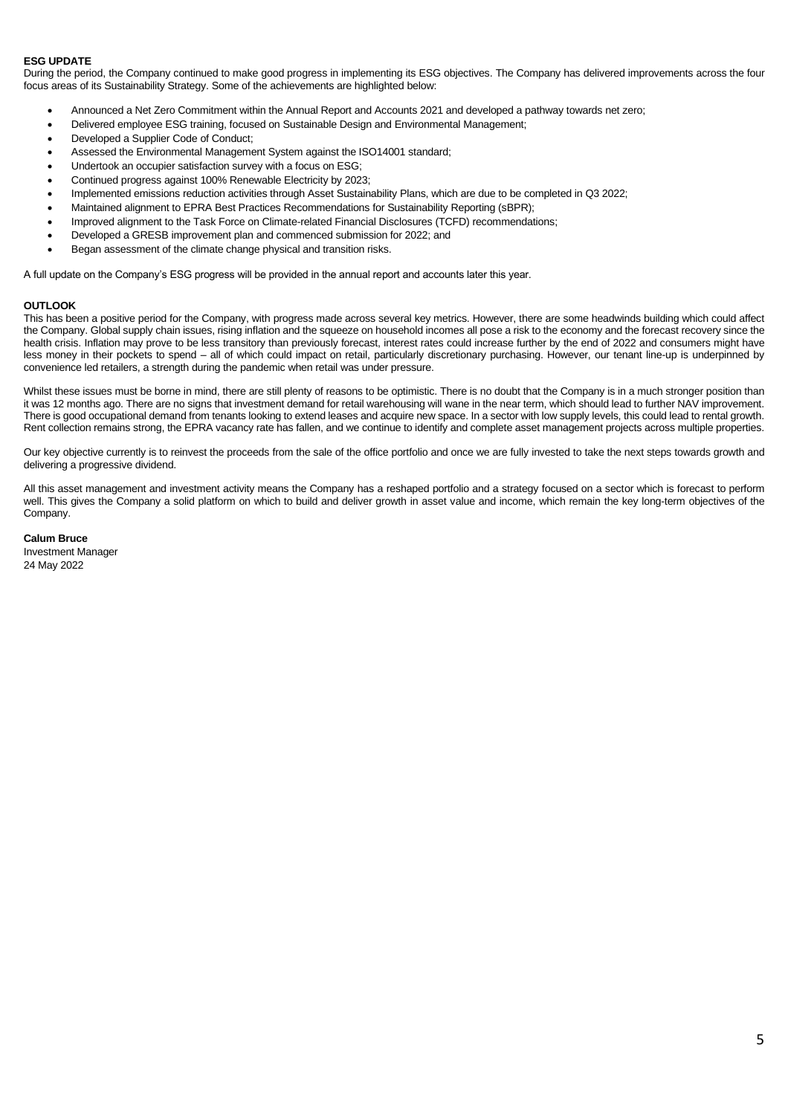### **ESG UPDATE**

During the period, the Company continued to make good progress in implementing its ESG objectives. The Company has delivered improvements across the four focus areas of its Sustainability Strategy. Some of the achievements are highlighted below:

- Announced a Net Zero Commitment within the Annual Report and Accounts 2021 and developed a pathway towards net zero;
- Delivered employee ESG training, focused on Sustainable Design and Environmental Management;
- Developed a Supplier Code of Conduct;
- Assessed the Environmental Management System against the ISO14001 standard;
- Undertook an occupier satisfaction survey with a focus on ESG;
- Continued progress against 100% Renewable Electricity by 2023;
- Implemented emissions reduction activities through Asset Sustainability Plans, which are due to be completed in Q3 2022;
- Maintained alignment to EPRA Best Practices Recommendations for Sustainability Reporting (sBPR);
- Improved alignment to the Task Force on Climate-related Financial Disclosures (TCFD) recommendations;
- Developed a GRESB improvement plan and commenced submission for 2022; and
- Began assessment of the climate change physical and transition risks.

A full update on the Company's ESG progress will be provided in the annual report and accounts later this year.

#### **OUTLOOK**

This has been a positive period for the Company, with progress made across several key metrics. However, there are some headwinds building which could affect the Company. Global supply chain issues, rising inflation and the squeeze on household incomes all pose a risk to the economy and the forecast recovery since the health crisis. Inflation may prove to be less transitory than previously forecast, interest rates could increase further by the end of 2022 and consumers might have less money in their pockets to spend – all of which could impact on retail, particularly discretionary purchasing. However, our tenant line-up is underpinned by convenience led retailers, a strength during the pandemic when retail was under pressure.

Whilst these issues must be borne in mind, there are still plenty of reasons to be optimistic. There is no doubt that the Company is in a much stronger position than it was 12 months ago. There are no signs that investment demand for retail warehousing will wane in the near term, which should lead to further NAV improvement. There is good occupational demand from tenants looking to extend leases and acquire new space. In a sector with low supply levels, this could lead to rental growth. Rent collection remains strong, the EPRA vacancy rate has fallen, and we continue to identify and complete asset management projects across multiple properties.

Our key objective currently is to reinvest the proceeds from the sale of the office portfolio and once we are fully invested to take the next steps towards growth and delivering a progressive dividend.

All this asset management and investment activity means the Company has a reshaped portfolio and a strategy focused on a sector which is forecast to perform well. This gives the Company a solid platform on which to build and deliver growth in asset value and income, which remain the key long-term objectives of the Company.

**Calum Bruce** Investment Manager 24 May 2022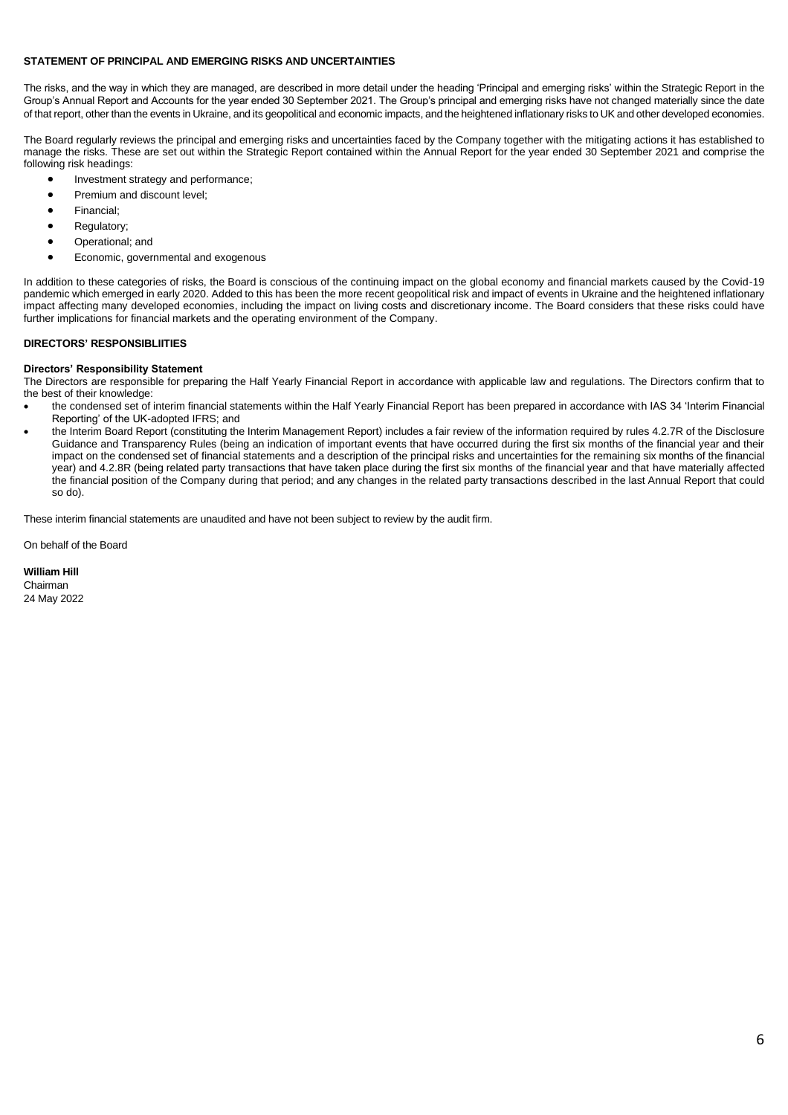#### **STATEMENT OF PRINCIPAL AND EMERGING RISKS AND UNCERTAINTIES**

The risks, and the way in which they are managed, are described in more detail under the heading 'Principal and emerging risks' within the Strategic Report in the Group's Annual Report and Accounts for the year ended 30 September 2021. The Group's principal and emerging risks have not changed materially since the date of that report, other than the events in Ukraine, and its geopolitical and economic impacts, and the heightened inflationary risks to UK and other developed economies.

The Board regularly reviews the principal and emerging risks and uncertainties faced by the Company together with the mitigating actions it has established to manage the risks. These are set out within the Strategic Report contained within the Annual Report for the year ended 30 September 2021 and comprise the following risk headings:

- Investment strategy and performance;
- Premium and discount level;
- Financial;
- Regulatory;
- Operational; and
- Economic, governmental and exogenous

In addition to these categories of risks, the Board is conscious of the continuing impact on the global economy and financial markets caused by the Covid-19 pandemic which emerged in early 2020. Added to this has been the more recent geopolitical risk and impact of events in Ukraine and the heightened inflationary impact affecting many developed economies, including the impact on living costs and discretionary income. The Board considers that these risks could have further implications for financial markets and the operating environment of the Company.

#### **DIRECTORS' RESPONSIBLIITIES**

#### **Directors' Responsibility Statement**

The Directors are responsible for preparing the Half Yearly Financial Report in accordance with applicable law and regulations. The Directors confirm that to the best of their knowledge:

- the condensed set of interim financial statements within the Half Yearly Financial Report has been prepared in accordance with IAS 34 'Interim Financial Reporting' of the UK-adopted IFRS; and
- the Interim Board Report (constituting the Interim Management Report) includes a fair review of the information required by rules 4.2.7R of the Disclosure Guidance and Transparency Rules (being an indication of important events that have occurred during the first six months of the financial year and their impact on the condensed set of financial statements and a description of the principal risks and uncertainties for the remaining six months of the financial year) and 4.2.8R (being related party transactions that have taken place during the first six months of the financial year and that have materially affected the financial position of the Company during that period; and any changes in the related party transactions described in the last Annual Report that could so do).

These interim financial statements are unaudited and have not been subject to review by the audit firm.

On behalf of the Board

**William Hill** Chairman 24 May 2022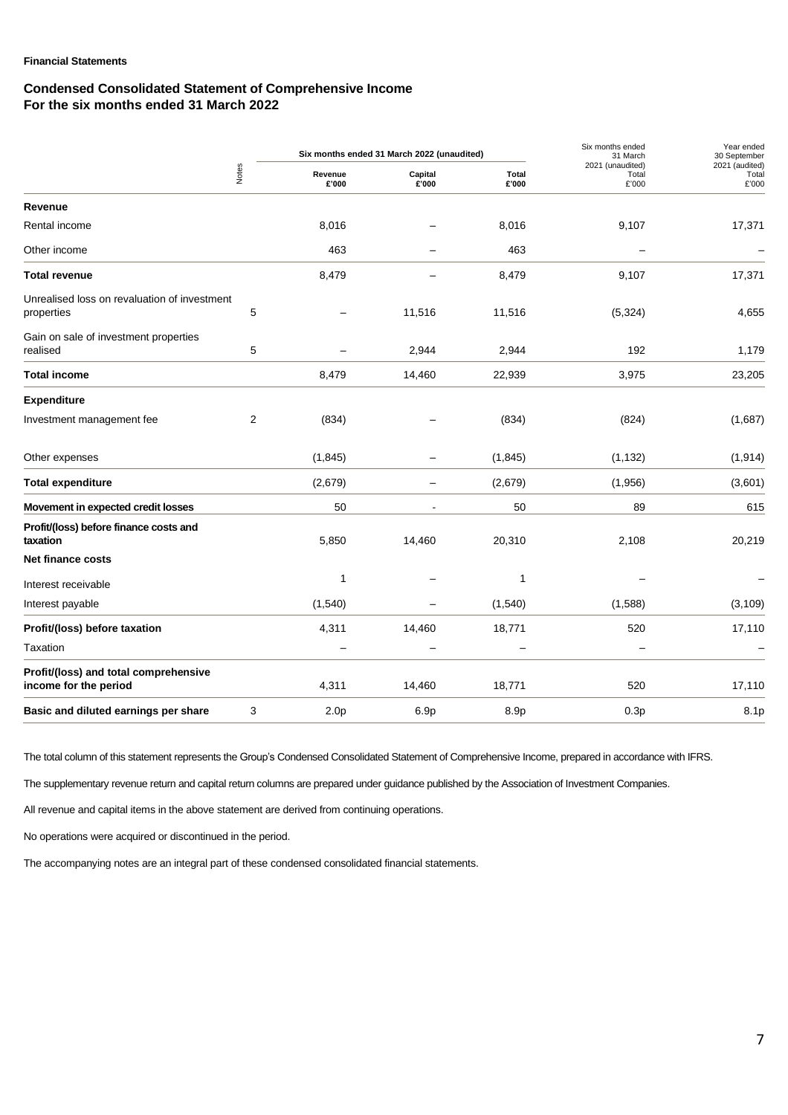### **Financial Statements**

### **Condensed Consolidated Statement of Comprehensive Income For the six months ended 31 March 2022**

|                                                                |   |                  | Six months ended 31 March 2022 (unaudited) |                       | Six months ended<br>31 March       | Year ended<br>30 September       |
|----------------------------------------------------------------|---|------------------|--------------------------------------------|-----------------------|------------------------------------|----------------------------------|
| Notes                                                          |   | Revenue<br>£'000 | Capital<br>E'000                           | <b>Total</b><br>£'000 | 2021 (unaudited)<br>Total<br>£'000 | 2021 (audited)<br>Total<br>£'000 |
| Revenue                                                        |   |                  |                                            |                       |                                    |                                  |
| Rental income                                                  |   | 8,016            |                                            | 8,016                 | 9,107                              | 17,371                           |
| Other income                                                   |   | 463              |                                            | 463                   |                                    |                                  |
| <b>Total revenue</b>                                           |   | 8,479            |                                            | 8,479                 | 9,107                              | 17,371                           |
| Unrealised loss on revaluation of investment<br>properties     | 5 |                  | 11,516                                     | 11,516                | (5, 324)                           | 4,655                            |
| Gain on sale of investment properties<br>realised              | 5 |                  | 2,944                                      | 2,944                 | 192                                | 1,179                            |
| <b>Total income</b>                                            |   | 8,479            | 14,460                                     | 22,939                | 3,975                              | 23,205                           |
| <b>Expenditure</b>                                             |   |                  |                                            |                       |                                    |                                  |
| Investment management fee                                      | 2 | (834)            |                                            | (834)                 | (824)                              | (1,687)                          |
| Other expenses                                                 |   | (1, 845)         |                                            | (1, 845)              | (1, 132)                           | (1, 914)                         |
| <b>Total expenditure</b>                                       |   | (2,679)          |                                            | (2,679)               | (1,956)                            | (3,601)                          |
| Movement in expected credit losses                             |   | 50               |                                            | 50                    | 89                                 | 615                              |
| Profit/(loss) before finance costs and<br>taxation             |   | 5,850            | 14,460                                     | 20,310                | 2,108                              | 20,219                           |
| <b>Net finance costs</b>                                       |   |                  |                                            |                       |                                    |                                  |
| Interest receivable                                            |   | 1                |                                            | 1                     |                                    |                                  |
| Interest payable                                               |   | (1, 540)         |                                            | (1,540)               | (1,588)                            | (3, 109)                         |
| Profit/(loss) before taxation                                  |   | 4,311            | 14,460                                     | 18,771                | 520                                | 17,110                           |
| Taxation                                                       |   |                  |                                            |                       |                                    |                                  |
| Profit/(loss) and total comprehensive<br>income for the period |   | 4,311            | 14,460                                     | 18,771                | 520                                | 17,110                           |
| Basic and diluted earnings per share                           | 3 | 2.0 <sub>p</sub> | 6.9p                                       | 8.9p                  | 0.3p                               | 8.1p                             |

The total column of this statement represents the Group's Condensed Consolidated Statement of Comprehensive Income, prepared in accordance with IFRS.

The supplementary revenue return and capital return columns are prepared under guidance published by the Association of Investment Companies.

All revenue and capital items in the above statement are derived from continuing operations.

No operations were acquired or discontinued in the period.

The accompanying notes are an integral part of these condensed consolidated financial statements.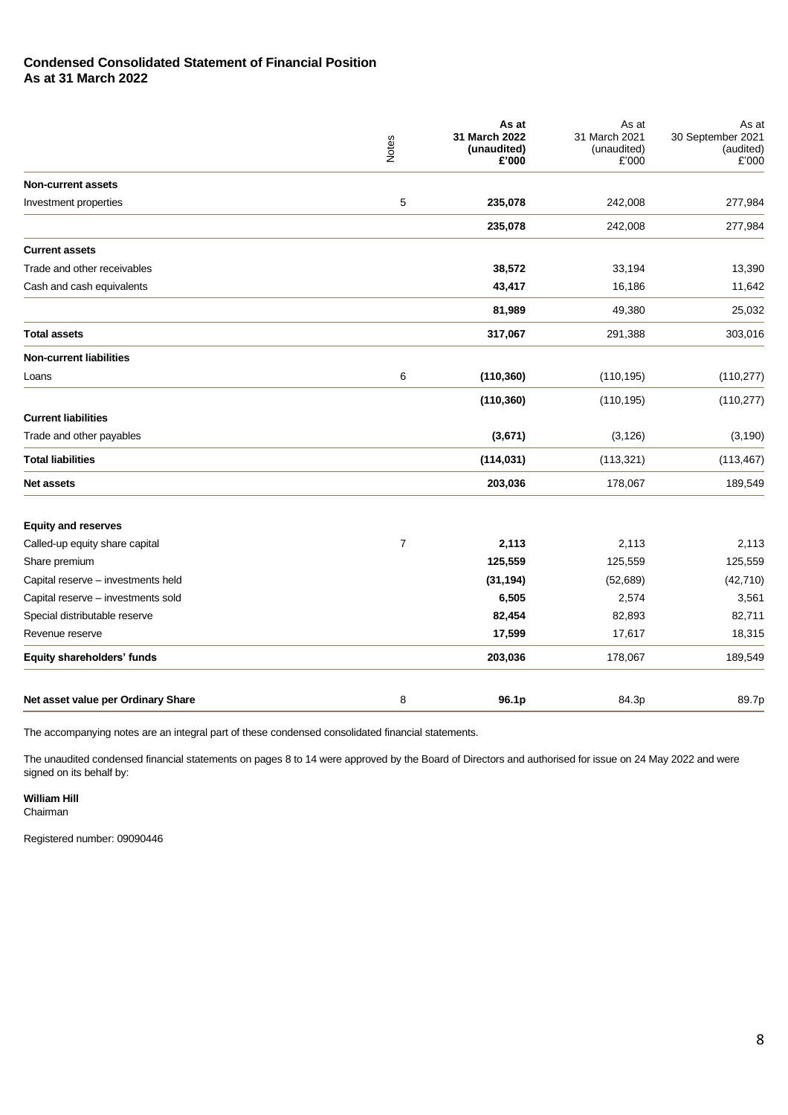## **Condensed Consolidated Statement of Financial Position As at 31 March 2022**

|                                    | Notes       | As at<br>31 March 2022<br>(unaudited)<br>£'000 | As at<br>31 March 2021<br>(unaudited)<br>£'000 | As at<br>30 September 2021<br>(audited)<br>£'000 |
|------------------------------------|-------------|------------------------------------------------|------------------------------------------------|--------------------------------------------------|
| <b>Non-current assets</b>          |             |                                                |                                                |                                                  |
| Investment properties              | $\mathbf 5$ | 235,078                                        | 242,008                                        | 277,984                                          |
|                                    |             | 235,078                                        | 242,008                                        | 277,984                                          |
| <b>Current assets</b>              |             |                                                |                                                |                                                  |
| Trade and other receivables        |             | 38,572                                         | 33,194                                         | 13,390                                           |
| Cash and cash equivalents          |             | 43,417                                         | 16,186                                         | 11,642                                           |
|                                    |             | 81,989                                         | 49,380                                         | 25,032                                           |
| <b>Total assets</b>                |             | 317,067                                        | 291,388                                        | 303,016                                          |
| <b>Non-current liabilities</b>     |             |                                                |                                                |                                                  |
| Loans                              | 6           | (110, 360)                                     | (110, 195)                                     | (110, 277)                                       |
|                                    |             | (110, 360)                                     | (110, 195)                                     | (110, 277)                                       |
| <b>Current liabilities</b>         |             |                                                |                                                |                                                  |
| Trade and other payables           |             | (3,671)                                        | (3, 126)                                       | (3, 190)                                         |
| <b>Total liabilities</b>           |             | (114, 031)                                     | (113, 321)                                     | (113, 467)                                       |
| <b>Net assets</b>                  |             | 203,036                                        | 178,067                                        | 189,549                                          |
| <b>Equity and reserves</b>         |             |                                                |                                                |                                                  |
| Called-up equity share capital     | 7           | 2,113                                          | 2,113                                          | 2,113                                            |
| Share premium                      |             | 125,559                                        | 125,559                                        | 125,559                                          |
| Capital reserve - investments held |             | (31, 194)                                      | (52, 689)                                      | (42, 710)                                        |
| Capital reserve - investments sold |             | 6,505                                          | 2,574                                          | 3,561                                            |
| Special distributable reserve      |             | 82,454                                         | 82,893                                         | 82,711                                           |
| Revenue reserve                    |             | 17,599                                         | 17,617                                         | 18,315                                           |
| Equity shareholders' funds         |             | 203,036                                        | 178,067                                        | 189,549                                          |
| Net asset value per Ordinary Share | 8           | 96.1p                                          | 84.3p                                          | 89.7p                                            |

The accompanying notes are an integral part of these condensed consolidated financial statements.

The unaudited condensed financial statements on pages 8 to 14 were approved by the Board of Directors and authorised for issue on 24 May 2022 and were signed on its behalf by:

**William Hill**

Chairman

Registered number: 09090446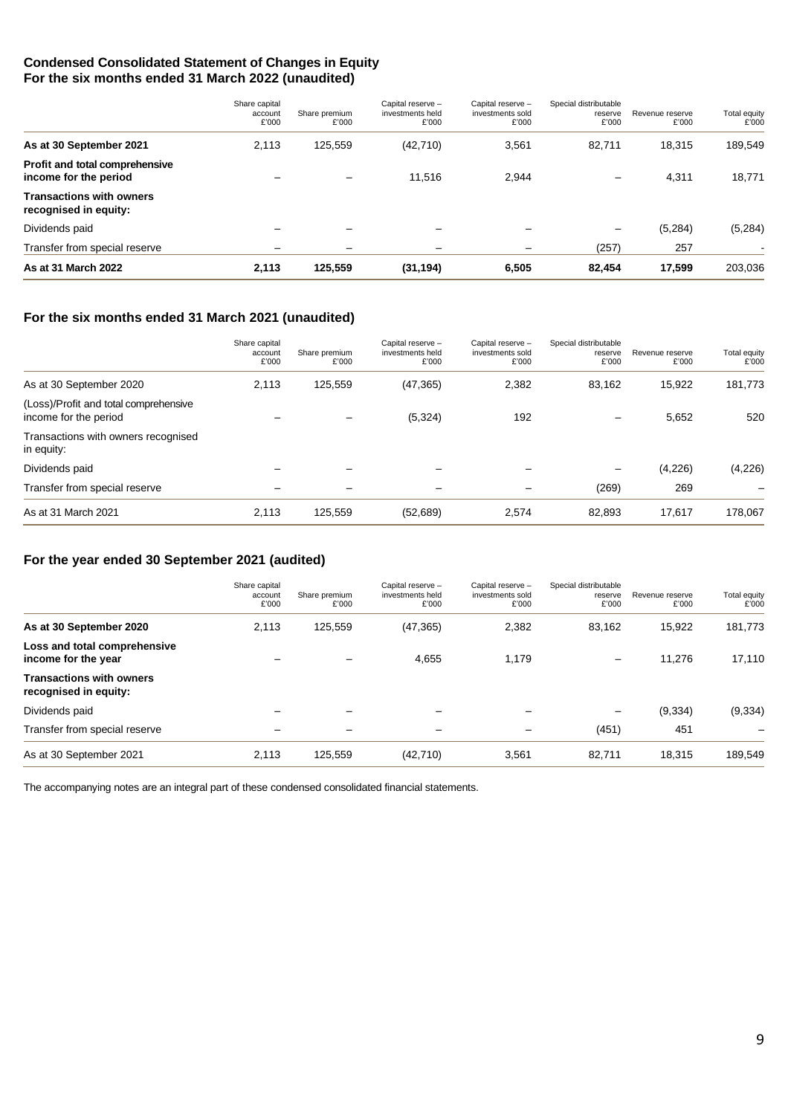## **Condensed Consolidated Statement of Changes in Equity For the six months ended 31 March 2022 (unaudited)**

|                                                          | Share capital<br>account<br>£'000 | Share premium<br>£'000   | Capital reserve -<br>investments held<br>£'000 | Capital reserve -<br>investments sold<br>£'000 | Special distributable<br>reserve<br>£'000 | Revenue reserve<br>£'000 | <b>Total equity</b><br>£'000 |
|----------------------------------------------------------|-----------------------------------|--------------------------|------------------------------------------------|------------------------------------------------|-------------------------------------------|--------------------------|------------------------------|
| As at 30 September 2021                                  | 2,113                             | 125,559                  | (42, 710)                                      | 3,561                                          | 82,711                                    | 18,315                   | 189,549                      |
| Profit and total comprehensive<br>income for the period  |                                   |                          | 11.516                                         | 2.944                                          | $\overline{\phantom{0}}$                  | 4,311                    | 18,771                       |
| <b>Transactions with owners</b><br>recognised in equity: |                                   |                          |                                                |                                                |                                           |                          |                              |
| Dividends paid                                           |                                   |                          |                                                |                                                | $\overline{\phantom{0}}$                  | (5,284)                  | (5,284)                      |
| Transfer from special reserve                            |                                   | $\overline{\phantom{0}}$ |                                                | -                                              | (257)                                     | 257                      |                              |
| As at 31 March 2022                                      | 2,113                             | 125,559                  | (31, 194)                                      | 6,505                                          | 82.454                                    | 17,599                   | 203,036                      |

## **For the six months ended 31 March 2021 (unaudited)**

|                                                                | Share capital<br>account<br>£'000 | Share premium<br>£'000 | Capital reserve -<br>investments held<br>£'000 | Capital reserve -<br>investments sold<br>£'000 | Special distributable<br>reserve<br>£'000 | Revenue reserve<br>£'000 | Total equity<br>£'000 |
|----------------------------------------------------------------|-----------------------------------|------------------------|------------------------------------------------|------------------------------------------------|-------------------------------------------|--------------------------|-----------------------|
| As at 30 September 2020                                        | 2,113                             | 125,559                | (47, 365)                                      | 2,382                                          | 83,162                                    | 15,922                   | 181,773               |
| (Loss)/Profit and total comprehensive<br>income for the period |                                   |                        | (5, 324)                                       | 192                                            |                                           | 5.652                    | 520                   |
| Transactions with owners recognised<br>in equity:              |                                   |                        |                                                |                                                |                                           |                          |                       |
| Dividends paid                                                 |                                   |                        |                                                |                                                | —                                         | (4,226)                  | (4,226)               |
| Transfer from special reserve                                  |                                   |                        |                                                |                                                | (269)                                     | 269                      |                       |
| As at 31 March 2021                                            | 2,113                             | 125,559                | (52, 689)                                      | 2,574                                          | 82,893                                    | 17,617                   | 178,067               |

## **For the year ended 30 September 2021 (audited)**

|                                                          | Share capital<br>account<br>£'000 | Share premium<br>£'000 | Capital reserve -<br>investments held<br>£'000 | Capital reserve -<br>investments sold<br>£'000 | Special distributable<br>reserve<br>£'000 | Revenue reserve<br>£'000 | Total equity<br>£'000 |
|----------------------------------------------------------|-----------------------------------|------------------------|------------------------------------------------|------------------------------------------------|-------------------------------------------|--------------------------|-----------------------|
| As at 30 September 2020                                  | 2,113                             | 125,559                | (47, 365)                                      | 2,382                                          | 83.162                                    | 15.922                   | 181,773               |
| Loss and total comprehensive<br>income for the year      |                                   |                        | 4,655                                          | 1.179                                          | $\overline{\phantom{m}}$                  | 11.276                   | 17,110                |
| <b>Transactions with owners</b><br>recognised in equity: |                                   |                        |                                                |                                                |                                           |                          |                       |
| Dividends paid                                           |                                   |                        |                                                |                                                | —                                         | (9, 334)                 | (9, 334)              |
| Transfer from special reserve                            |                                   |                        |                                                | -                                              | (451)                                     | 451                      |                       |
| As at 30 September 2021                                  | 2,113                             | 125,559                | (42, 710)                                      | 3,561                                          | 82,711                                    | 18,315                   | 189,549               |

The accompanying notes are an integral part of these condensed consolidated financial statements.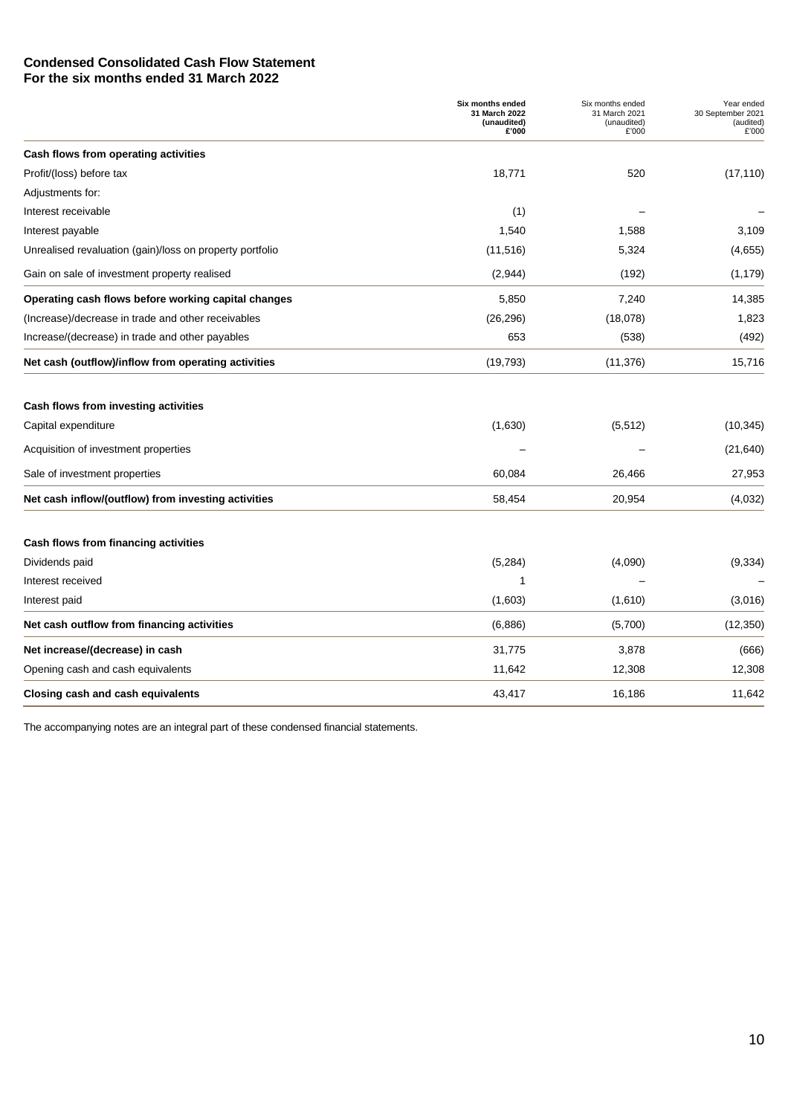## **Condensed Consolidated Cash Flow Statement For the six months ended 31 March 2022**

|                                                          | Six months ended<br>31 March 2022<br>(unaudited)<br>£'000 | Six months ended<br>31 March 2021<br>(unaudited)<br>£'000 | Year ended<br>30 September 2021<br>(audited)<br>£'000 |
|----------------------------------------------------------|-----------------------------------------------------------|-----------------------------------------------------------|-------------------------------------------------------|
| Cash flows from operating activities                     |                                                           |                                                           |                                                       |
| Profit/(loss) before tax                                 | 18,771                                                    | 520                                                       | (17, 110)                                             |
| Adjustments for:                                         |                                                           |                                                           |                                                       |
| Interest receivable                                      | (1)                                                       |                                                           |                                                       |
| Interest payable                                         | 1,540                                                     | 1,588                                                     | 3,109                                                 |
| Unrealised revaluation (gain)/loss on property portfolio | (11, 516)                                                 | 5,324                                                     | (4,655)                                               |
| Gain on sale of investment property realised             | (2,944)                                                   | (192)                                                     | (1, 179)                                              |
| Operating cash flows before working capital changes      | 5,850                                                     | 7,240                                                     | 14,385                                                |
| (Increase)/decrease in trade and other receivables       | (26, 296)                                                 | (18,078)                                                  | 1,823                                                 |
| Increase/(decrease) in trade and other payables          | 653                                                       | (538)                                                     | (492)                                                 |
| Net cash (outflow)/inflow from operating activities      | (19, 793)                                                 | (11, 376)                                                 | 15,716                                                |
| Cash flows from investing activities                     |                                                           |                                                           |                                                       |
| Capital expenditure                                      | (1,630)                                                   | (5, 512)                                                  | (10, 345)                                             |
| Acquisition of investment properties                     |                                                           |                                                           | (21, 640)                                             |
| Sale of investment properties                            | 60,084                                                    | 26,466                                                    | 27,953                                                |
| Net cash inflow/(outflow) from investing activities      | 58,454                                                    | 20,954                                                    | (4,032)                                               |
| Cash flows from financing activities                     |                                                           |                                                           |                                                       |
| Dividends paid                                           | (5,284)                                                   | (4,090)                                                   | (9, 334)                                              |
| Interest received                                        | 1                                                         |                                                           |                                                       |
| Interest paid                                            | (1,603)                                                   | (1,610)                                                   | (3,016)                                               |
| Net cash outflow from financing activities               | (6,886)                                                   | (5,700)                                                   | (12, 350)                                             |
| Net increase/(decrease) in cash                          | 31,775                                                    | 3,878                                                     | (666)                                                 |
| Opening cash and cash equivalents                        | 11,642                                                    | 12,308                                                    | 12,308                                                |
| Closing cash and cash equivalents                        | 43,417                                                    | 16,186                                                    | 11,642                                                |

The accompanying notes are an integral part of these condensed financial statements.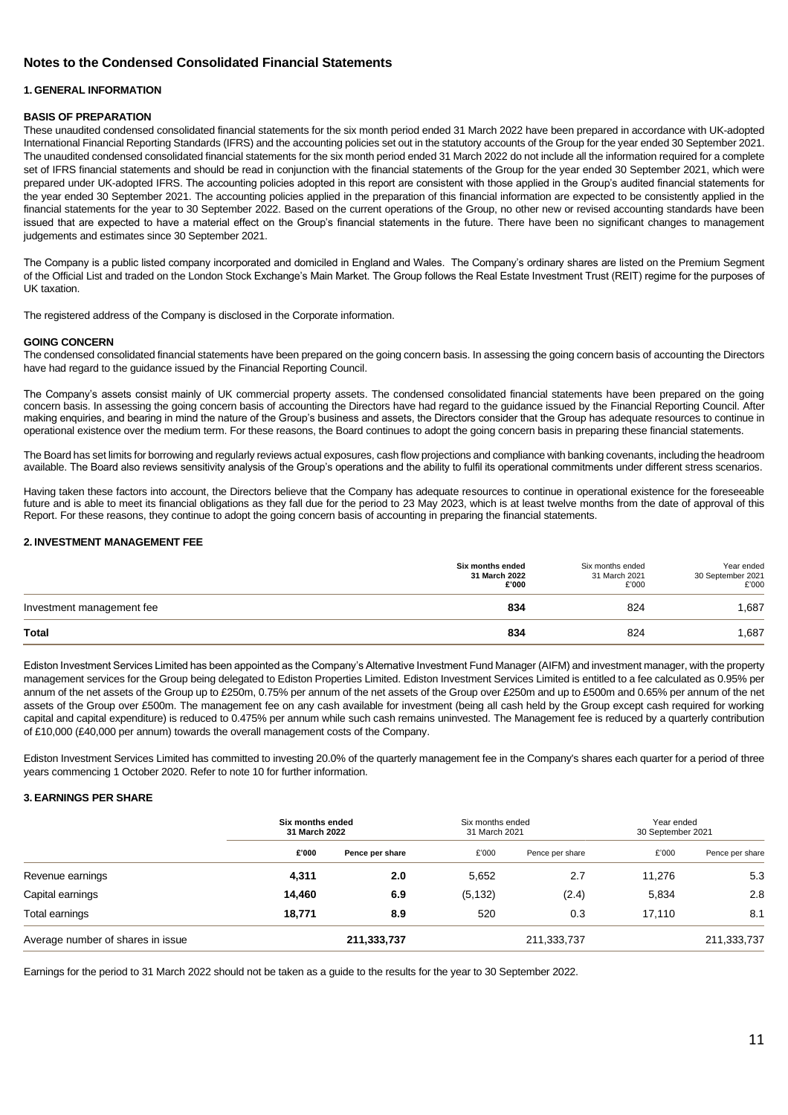## **Notes to the Condensed Consolidated Financial Statements**

#### **1. GENERAL INFORMATION**

#### **BASIS OF PREPARATION**

These unaudited condensed consolidated financial statements for the six month period ended 31 March 2022 have been prepared in accordance with UK-adopted International Financial Reporting Standards (IFRS) and the accounting policies set out in the statutory accounts of the Group for the year ended 30 September 2021. The unaudited condensed consolidated financial statements for the six month period ended 31 March 2022 do not include all the information required for a complete set of IFRS financial statements and should be read in conjunction with the financial statements of the Group for the year ended 30 September 2021, which were prepared under UK-adopted IFRS. The accounting policies adopted in this report are consistent with those applied in the Group's audited financial statements for the year ended 30 September 2021. The accounting policies applied in the preparation of this financial information are expected to be consistently applied in the financial statements for the year to 30 September 2022. Based on the current operations of the Group, no other new or revised accounting standards have been issued that are expected to have a material effect on the Group's financial statements in the future. There have been no significant changes to management judgements and estimates since 30 September 2021.

The Company is a public listed company incorporated and domiciled in England and Wales. The Company's ordinary shares are listed on the Premium Segment of the Official List and traded on the London Stock Exchange's Main Market. The Group follows the Real Estate Investment Trust (REIT) regime for the purposes of UK taxation.

The registered address of the Company is disclosed in the Corporate information.

#### **GOING CONCERN**

The condensed consolidated financial statements have been prepared on the going concern basis. In assessing the going concern basis of accounting the Directors have had regard to the guidance issued by the Financial Reporting Council.

The Company's assets consist mainly of UK commercial property assets. The condensed consolidated financial statements have been prepared on the going concern basis. In assessing the going concern basis of accounting the Directors have had regard to the guidance issued by the Financial Reporting Council. After making enquiries, and bearing in mind the nature of the Group's business and assets, the Directors consider that the Group has adequate resources to continue in operational existence over the medium term. For these reasons, the Board continues to adopt the going concern basis in preparing these financial statements.

The Board has set limits for borrowing and regularly reviews actual exposures, cash flow projections and compliance with banking covenants, including the headroom available. The Board also reviews sensitivity analysis of the Group's operations and the ability to fulfil its operational commitments under different stress scenarios.

Having taken these factors into account, the Directors believe that the Company has adequate resources to continue in operational existence for the foreseeable future and is able to meet its financial obligations as they fall due for the period to 23 May 2023, which is at least twelve months from the date of approval of this Report. For these reasons, they continue to adopt the going concern basis of accounting in preparing the financial statements.

#### **2. INVESTMENT MANAGEMENT FEE**

|                           | <b>Six months ended</b><br>31 March 2022<br>£'000 | Six months ended<br>31 March 2021<br>£'000 | Year ended<br>30 September 2021<br>£'000 |
|---------------------------|---------------------------------------------------|--------------------------------------------|------------------------------------------|
| Investment management fee | 834                                               | 824                                        | 1,687                                    |
| Total                     | 834                                               | 824                                        | .687                                     |

Ediston Investment Services Limited has been appointed as the Company's Alternative Investment Fund Manager (AIFM) and investment manager, with the property management services for the Group being delegated to Ediston Properties Limited. Ediston Investment Services Limited is entitled to a fee calculated as 0.95% per annum of the net assets of the Group up to £250m, 0.75% per annum of the net assets of the Group over £250m and up to £500m and 0.65% per annum of the net assets of the Group over £500m. The management fee on any cash available for investment (being all cash held by the Group except cash required for working capital and capital expenditure) is reduced to 0.475% per annum while such cash remains uninvested. The Management fee is reduced by a quarterly contribution of £10,000 (£40,000 per annum) towards the overall management costs of the Company.

Ediston Investment Services Limited has committed to investing 20.0% of the quarterly management fee in the Company's shares each quarter for a period of three years commencing 1 October 2020. Refer to note 10 for further information.

#### **3. EARNINGS PER SHARE**

|                                   | Six months ended<br>31 March 2022 |                 |          | Six months ended<br>31 March 2021 |        | Year ended<br>30 September 2021 |  |
|-----------------------------------|-----------------------------------|-----------------|----------|-----------------------------------|--------|---------------------------------|--|
|                                   | £'000                             | Pence per share | £'000    | Pence per share                   | £'000  | Pence per share                 |  |
| Revenue earnings                  | 4,311                             | 2.0             | 5,652    | 2.7                               | 11.276 | 5.3                             |  |
| Capital earnings                  | 14,460                            | 6.9             | (5, 132) | (2.4)                             | 5,834  | 2.8                             |  |
| Total earnings                    | 18.771                            | 8.9             | 520      | 0.3                               | 17.110 | 8.1                             |  |
| Average number of shares in issue |                                   | 211,333,737     |          | 211,333,737                       |        | 211,333,737                     |  |

Earnings for the period to 31 March 2022 should not be taken as a guide to the results for the year to 30 September 2022.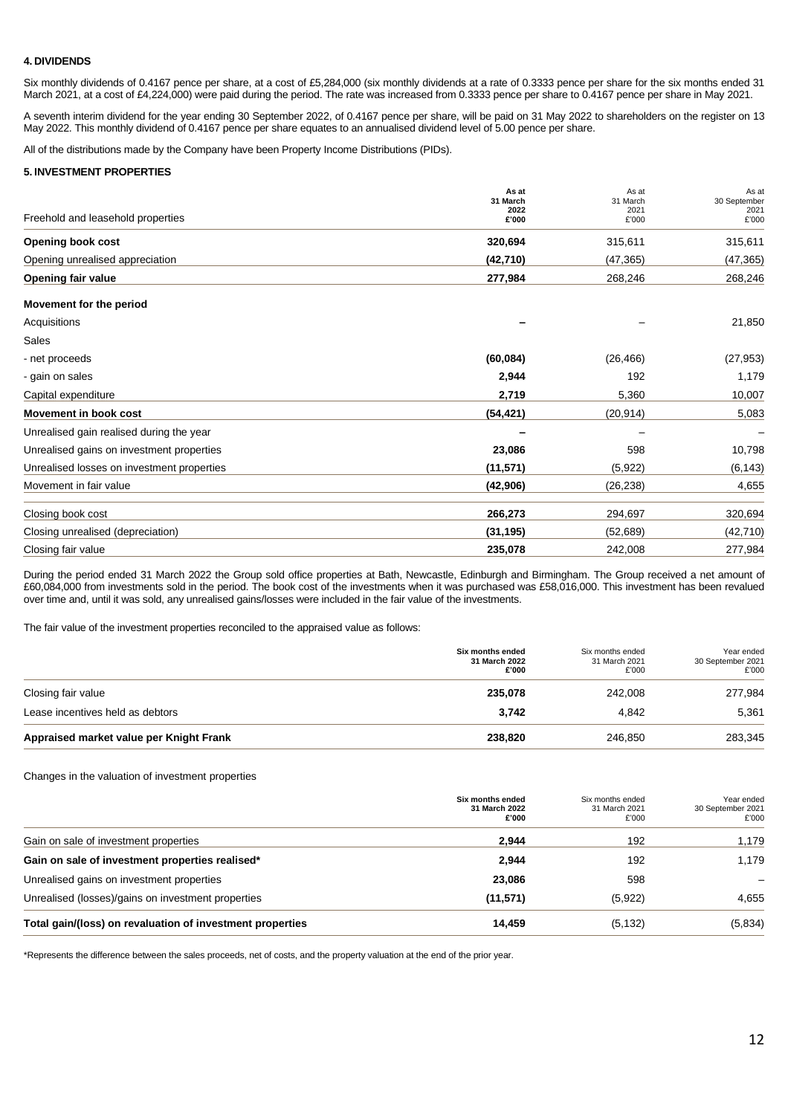### **4. DIVIDENDS**

Six monthly dividends of 0.4167 pence per share, at a cost of £5,284,000 (six monthly dividends at a rate of 0.3333 pence per share for the six months ended 31 March 2021, at a cost of £4,224,000) were paid during the period. The rate was increased from 0.3333 pence per share to 0.4167 pence per share in May 2021.

A seventh interim dividend for the year ending 30 September 2022, of 0.4167 pence per share, will be paid on 31 May 2022 to shareholders on the register on 13 May 2022. This monthly dividend of 0.4167 pence per share equates to an annualised dividend level of 5.00 pence per share.

All of the distributions made by the Company have been Property Income Distributions (PIDs).

#### **5. INVESTMENT PROPERTIES**

|                                            | As at<br>31 March | As at<br>31 March | As at<br>30 September |
|--------------------------------------------|-------------------|-------------------|-----------------------|
| Freehold and leasehold properties          | 2022<br>£'000     | 2021<br>£'000     | 2021<br>£'000         |
| <b>Opening book cost</b>                   | 320,694           | 315,611           | 315,611               |
| Opening unrealised appreciation            | (42, 710)         | (47, 365)         | (47, 365)             |
| Opening fair value                         | 277,984           | 268,246           | 268,246               |
| Movement for the period                    |                   |                   |                       |
| Acquisitions                               |                   |                   | 21,850                |
| Sales                                      |                   |                   |                       |
| - net proceeds                             | (60, 084)         | (26, 466)         | (27, 953)             |
| - gain on sales                            | 2,944             | 192               | 1,179                 |
| Capital expenditure                        | 2,719             | 5,360             | 10,007                |
| <b>Movement in book cost</b>               | (54, 421)         | (20, 914)         | 5,083                 |
| Unrealised gain realised during the year   |                   |                   |                       |
| Unrealised gains on investment properties  | 23,086            | 598               | 10,798                |
| Unrealised losses on investment properties | (11, 571)         | (5,922)           | (6, 143)              |
| Movement in fair value                     | (42,906)          | (26, 238)         | 4,655                 |
| Closing book cost                          | 266,273           | 294,697           | 320,694               |
| Closing unrealised (depreciation)          | (31, 195)         | (52, 689)         | (42, 710)             |
| Closing fair value                         | 235,078           | 242,008           | 277,984               |

During the period ended 31 March 2022 the Group sold office properties at Bath, Newcastle, Edinburgh and Birmingham. The Group received a net amount of £60,084,000 from investments sold in the period. The book cost of the investments when it was purchased was £58,016,000. This investment has been revalued over time and, until it was sold, any unrealised gains/losses were included in the fair value of the investments.

The fair value of the investment properties reconciled to the appraised value as follows:

|                                         | Six months ended<br>31 March 2022<br>£'000 | Six months ended<br>31 March 2021<br>£'000 | Year ended<br>30 September 2021<br>£'000 |
|-----------------------------------------|--------------------------------------------|--------------------------------------------|------------------------------------------|
| Closing fair value                      | 235,078                                    | 242.008                                    | 277,984                                  |
| Lease incentives held as debtors        | 3.742                                      | 4.842                                      | 5,361                                    |
| Appraised market value per Knight Frank | 238,820                                    | 246,850                                    | 283,345                                  |

#### Changes in the valuation of investment properties

|                                                           | Six months ended<br>31 March 2022<br>£'000 | Six months ended<br>31 March 2021<br>£'000 | Year ended<br>30 September 2021<br>£'000 |
|-----------------------------------------------------------|--------------------------------------------|--------------------------------------------|------------------------------------------|
| Gain on sale of investment properties                     | 2,944                                      | 192                                        | 1,179                                    |
| Gain on sale of investment properties realised*           | 2,944                                      | 192                                        | 1,179                                    |
| Unrealised gains on investment properties                 | 23,086                                     | 598                                        |                                          |
| Unrealised (losses)/gains on investment properties        | (11, 571)                                  | (5,922)                                    | 4,655                                    |
| Total gain/(loss) on revaluation of investment properties | 14,459                                     | (5, 132)                                   | (5,834)                                  |

\*Represents the difference between the sales proceeds, net of costs, and the property valuation at the end of the prior year.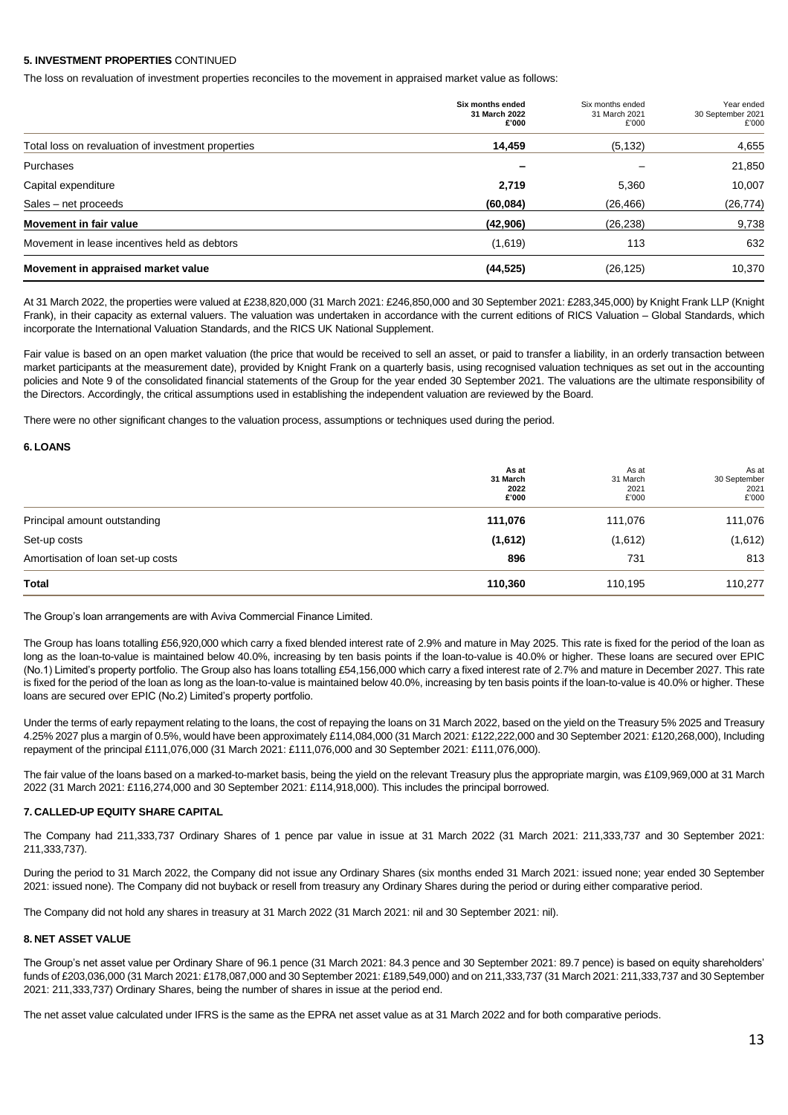### **5. INVESTMENT PROPERTIES** CONTINUED

The loss on revaluation of investment properties reconciles to the movement in appraised market value as follows:

|                                                    | Six months ended<br>31 March 2022<br>£'000 | Six months ended<br>31 March 2021<br>£'000 | Year ended<br>30 September 2021<br>£'000 |
|----------------------------------------------------|--------------------------------------------|--------------------------------------------|------------------------------------------|
| Total loss on revaluation of investment properties | 14,459                                     | (5, 132)                                   | 4,655                                    |
| Purchases                                          |                                            |                                            | 21,850                                   |
| Capital expenditure                                | 2,719                                      | 5,360                                      | 10,007                                   |
| Sales - net proceeds                               | (60, 084)                                  | (26, 466)                                  | (26, 774)                                |
| Movement in fair value                             | (42,906)                                   | (26, 238)                                  | 9,738                                    |
| Movement in lease incentives held as debtors       | (1,619)                                    | 113                                        | 632                                      |
| Movement in appraised market value                 | (44, 525)                                  | (26, 125)                                  | 10,370                                   |

At 31 March 2022, the properties were valued at £238,820,000 (31 March 2021: £246,850,000 and 30 September 2021: £283,345,000) by Knight Frank LLP (Knight Frank), in their capacity as external valuers. The valuation was undertaken in accordance with the current editions of RICS Valuation – Global Standards, which incorporate the International Valuation Standards, and the RICS UK National Supplement.

Fair value is based on an open market valuation (the price that would be received to sell an asset, or paid to transfer a liability, in an orderly transaction between market participants at the measurement date), provided by Knight Frank on a quarterly basis, using recognised valuation techniques as set out in the accounting policies and Note 9 of the consolidated financial statements of the Group for the year ended 30 September 2021. The valuations are the ultimate responsibility of the Directors. Accordingly, the critical assumptions used in establishing the independent valuation are reviewed by the Board.

There were no other significant changes to the valuation process, assumptions or techniques used during the period.

#### **6. LOANS**

|                                   | As at<br>31 March<br>2022<br>£'000 | As at<br>31 March<br>2021<br>£'000 | As at<br>30 September<br>2021<br>£'000 |
|-----------------------------------|------------------------------------|------------------------------------|----------------------------------------|
| Principal amount outstanding      | 111,076                            | 111,076                            | 111,076                                |
| Set-up costs                      | (1,612)                            | (1,612)                            | (1,612)                                |
| Amortisation of loan set-up costs | 896                                | 731                                | 813                                    |
| Total                             | 110,360                            | 110,195                            | 110,277                                |

The Group's loan arrangements are with Aviva Commercial Finance Limited.

The Group has loans totalling £56,920,000 which carry a fixed blended interest rate of 2.9% and mature in May 2025. This rate is fixed for the period of the loan as long as the loan-to-value is maintained below 40.0%, increasing by ten basis points if the loan-to-value is 40.0% or higher. These loans are secured over EPIC (No.1) Limited's property portfolio. The Group also has loans totalling £54,156,000 which carry a fixed interest rate of 2.7% and mature in December 2027. This rate is fixed for the period of the loan as long as the loan-to-value is maintained below 40.0%, increasing by ten basis points if the loan-to-value is 40.0% or higher. These loans are secured over EPIC (No.2) Limited's property portfolio.

Under the terms of early repayment relating to the loans, the cost of repaying the loans on 31 March 2022, based on the yield on the Treasury 5% 2025 and Treasury 4.25% 2027 plus a margin of 0.5%, would have been approximately £114,084,000 (31 March 2021: £122,222,000 and 30 September 2021: £120,268,000), Including repayment of the principal £111,076,000 (31 March 2021: £111,076,000 and 30 September 2021: £111,076,000).

The fair value of the loans based on a marked-to-market basis, being the yield on the relevant Treasury plus the appropriate margin, was £109,969,000 at 31 March 2022 (31 March 2021: £116,274,000 and 30 September 2021: £114,918,000). This includes the principal borrowed.

#### **7. CALLED-UP EQUITY SHARE CAPITAL**

The Company had 211,333,737 Ordinary Shares of 1 pence par value in issue at 31 March 2022 (31 March 2021: 211,333,737 and 30 September 2021: 211,333,737).

During the period to 31 March 2022, the Company did not issue any Ordinary Shares (six months ended 31 March 2021: issued none; year ended 30 September 2021: issued none). The Company did not buyback or resell from treasury any Ordinary Shares during the period or during either comparative period.

The Company did not hold any shares in treasury at 31 March 2022 (31 March 2021: nil and 30 September 2021: nil).

#### **8. NET ASSET VALUE**

The Group's net asset value per Ordinary Share of 96.1 pence (31 March 2021: 84.3 pence and 30 September 2021: 89.7 pence) is based on equity shareholders' funds of £203,036,000 (31 March 2021: £178,087,000 and 30 September 2021: £189,549,000) and on 211,333,737 (31 March 2021: 211,333,737 and 30 September 2021: 211,333,737) Ordinary Shares, being the number of shares in issue at the period end.

The net asset value calculated under IFRS is the same as the EPRA net asset value as at 31 March 2022 and for both comparative periods.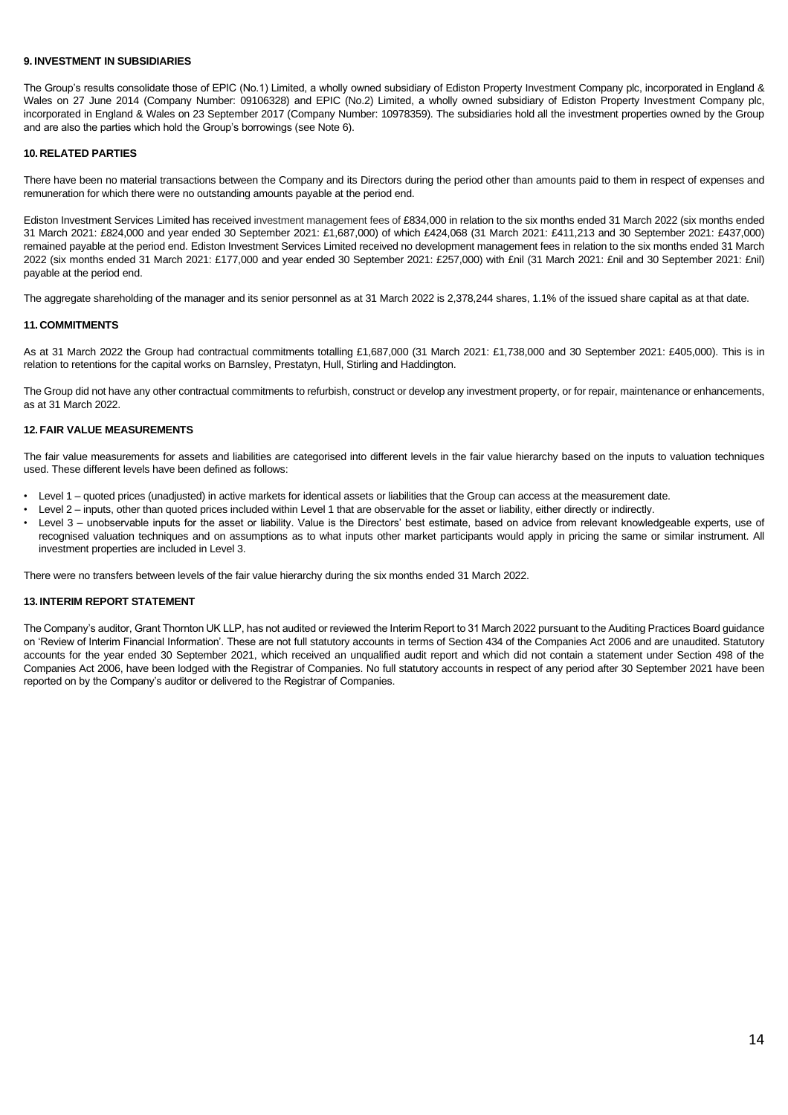#### **9. INVESTMENT IN SUBSIDIARIES**

The Group's results consolidate those of EPIC (No.1) Limited, a wholly owned subsidiary of Ediston Property Investment Company plc, incorporated in England & Wales on 27 June 2014 (Company Number: 09106328) and EPIC (No.2) Limited, a wholly owned subsidiary of Ediston Property Investment Company plc, incorporated in England & Wales on 23 September 2017 (Company Number: 10978359). The subsidiaries hold all the investment properties owned by the Group and are also the parties which hold the Group's borrowings (see Note 6).

### **10. RELATED PARTIES**

There have been no material transactions between the Company and its Directors during the period other than amounts paid to them in respect of expenses and remuneration for which there were no outstanding amounts payable at the period end.

Ediston Investment Services Limited has received investment management fees of £834,000 in relation to the six months ended 31 March 2022 (six months ended 31 March 2021: £824,000 and year ended 30 September 2021: £1,687,000) of which £424,068 (31 March 2021: £411,213 and 30 September 2021: £437,000) remained payable at the period end. Ediston Investment Services Limited received no development management fees in relation to the six months ended 31 March 2022 (six months ended 31 March 2021: £177,000 and year ended 30 September 2021: £257,000) with £nil (31 March 2021: £nil and 30 September 2021: £nil) payable at the period end.

The aggregate shareholding of the manager and its senior personnel as at 31 March 2022 is 2,378,244 shares, 1.1% of the issued share capital as at that date.

### **11. COMMITMENTS**

As at 31 March 2022 the Group had contractual commitments totalling £1,687,000 (31 March 2021: £1,738,000 and 30 September 2021: £405,000). This is in relation to retentions for the capital works on Barnsley, Prestatyn, Hull, Stirling and Haddington.

The Group did not have any other contractual commitments to refurbish, construct or develop any investment property, or for repair, maintenance or enhancements, as at 31 March 2022.

### **12. FAIR VALUE MEASUREMENTS**

The fair value measurements for assets and liabilities are categorised into different levels in the fair value hierarchy based on the inputs to valuation techniques used. These different levels have been defined as follows:

- Level 1 quoted prices (unadjusted) in active markets for identical assets or liabilities that the Group can access at the measurement date.
- Level 2 inputs, other than quoted prices included within Level 1 that are observable for the asset or liability, either directly or indirectly.
- Level 3 unobservable inputs for the asset or liability. Value is the Directors' best estimate, based on advice from relevant knowledgeable experts, use of recognised valuation techniques and on assumptions as to what inputs other market participants would apply in pricing the same or similar instrument. All investment properties are included in Level 3.

There were no transfers between levels of the fair value hierarchy during the six months ended 31 March 2022.

#### **13. INTERIM REPORT STATEMENT**

The Company's auditor, Grant Thornton UK LLP, has not audited or reviewed the Interim Report to 31 March 2022 pursuant to the Auditing Practices Board guidance on 'Review of Interim Financial Information'. These are not full statutory accounts in terms of Section 434 of the Companies Act 2006 and are unaudited. Statutory accounts for the year ended 30 September 2021, which received an unqualified audit report and which did not contain a statement under Section 498 of the Companies Act 2006, have been lodged with the Registrar of Companies. No full statutory accounts in respect of any period after 30 September 2021 have been reported on by the Company's auditor or delivered to the Registrar of Companies.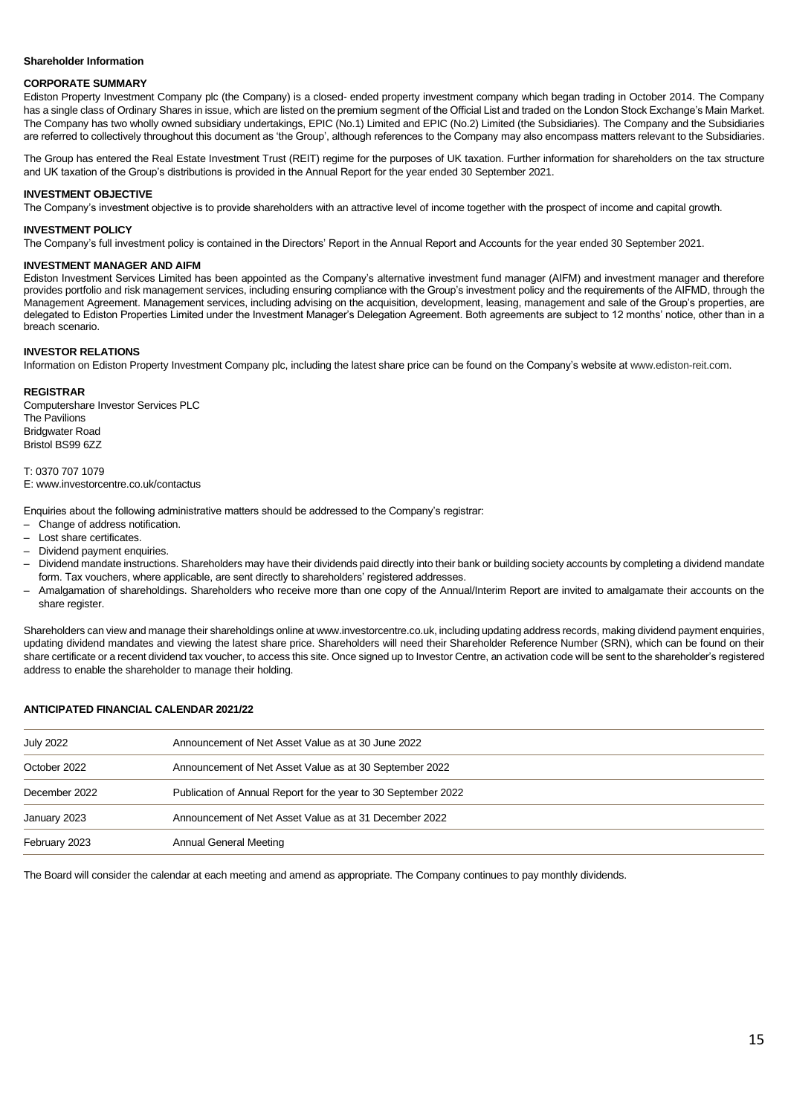### **Shareholder Information**

### **CORPORATE SUMMARY**

Ediston Property Investment Company plc (the Company) is a closed- ended property investment company which began trading in October 2014. The Company has a single class of Ordinary Shares in issue, which are listed on the premium segment of the Official List and traded on the London Stock Exchange's Main Market. The Company has two wholly owned subsidiary undertakings, EPIC (No.1) Limited and EPIC (No.2) Limited (the Subsidiaries). The Company and the Subsidiaries are referred to collectively throughout this document as 'the Group', although references to the Company may also encompass matters relevant to the Subsidiaries.

The Group has entered the Real Estate Investment Trust (REIT) regime for the purposes of UK taxation. Further information for shareholders on the tax structure and UK taxation of the Group's distributions is provided in the Annual Report for the year ended 30 September 2021.

#### **INVESTMENT OBJECTIVE**

The Company's investment objective is to provide shareholders with an attractive level of income together with the prospect of income and capital growth.

#### **INVESTMENT POLICY**

The Company's full investment policy is contained in the Directors' Report in the Annual Report and Accounts for the year ended 30 September 2021.

#### **INVESTMENT MANAGER AND AIFM**

Ediston Investment Services Limited has been appointed as the Company's alternative investment fund manager (AIFM) and investment manager and therefore provides portfolio and risk management services, including ensuring compliance with the Group's investment policy and the requirements of the AIFMD, through the Management Agreement. Management services, including advising on the acquisition, development, leasing, management and sale of the Group's properties, are delegated to Ediston Properties Limited under the Investment Manager's Delegation Agreement. Both agreements are subject to 12 months' notice, other than in a breach scenario.

#### **INVESTOR RELATIONS**

Information on Ediston Property Investment Company plc, including the latest share price can be found on the Company's website a[t www.ediston-reit.com.](http://www.ediston-reit.com/)

#### **REGISTRAR**

Computershare Investor Services PLC The Pavilions Bridgwater Road Bristol BS99 6ZZ

T: 0370 707 1079 E: www.investorcentre.co.uk/contactus

Enquiries about the following administrative matters should be addressed to the Company's registrar:

- Change of address notification.
- Lost share certificates.
- Dividend payment enquiries.
- Dividend mandate instructions. Shareholders may have their dividends paid directly into their bank or building society accounts by completing a dividend mandate form. Tax vouchers, where applicable, are sent directly to shareholders' registered addresses.
- Amalgamation of shareholdings. Shareholders who receive more than one copy of the Annual/Interim Report are invited to amalgamate their accounts on the share register.

Shareholders can view and manage their shareholdings online at www.investorcentre.co.uk, including updating address records, making dividend payment enquiries, updating dividend mandates and viewing the latest share price. Shareholders will need their Shareholder Reference Number (SRN), which can be found on their share certificate or a recent dividend tax voucher, to access this site. Once signed up to Investor Centre, an activation code will be sent to the shareholder's registered address to enable the shareholder to manage their holding.

#### **ANTICIPATED FINANCIAL CALENDAR 2021/22**

| <b>July 2022</b> | Announcement of Net Asset Value as at 30 June 2022             |
|------------------|----------------------------------------------------------------|
| October 2022     | Announcement of Net Asset Value as at 30 September 2022        |
| December 2022    | Publication of Annual Report for the year to 30 September 2022 |
| January 2023     | Announcement of Net Asset Value as at 31 December 2022         |
| February 2023    | Annual General Meeting                                         |

The Board will consider the calendar at each meeting and amend as appropriate. The Company continues to pay monthly dividends.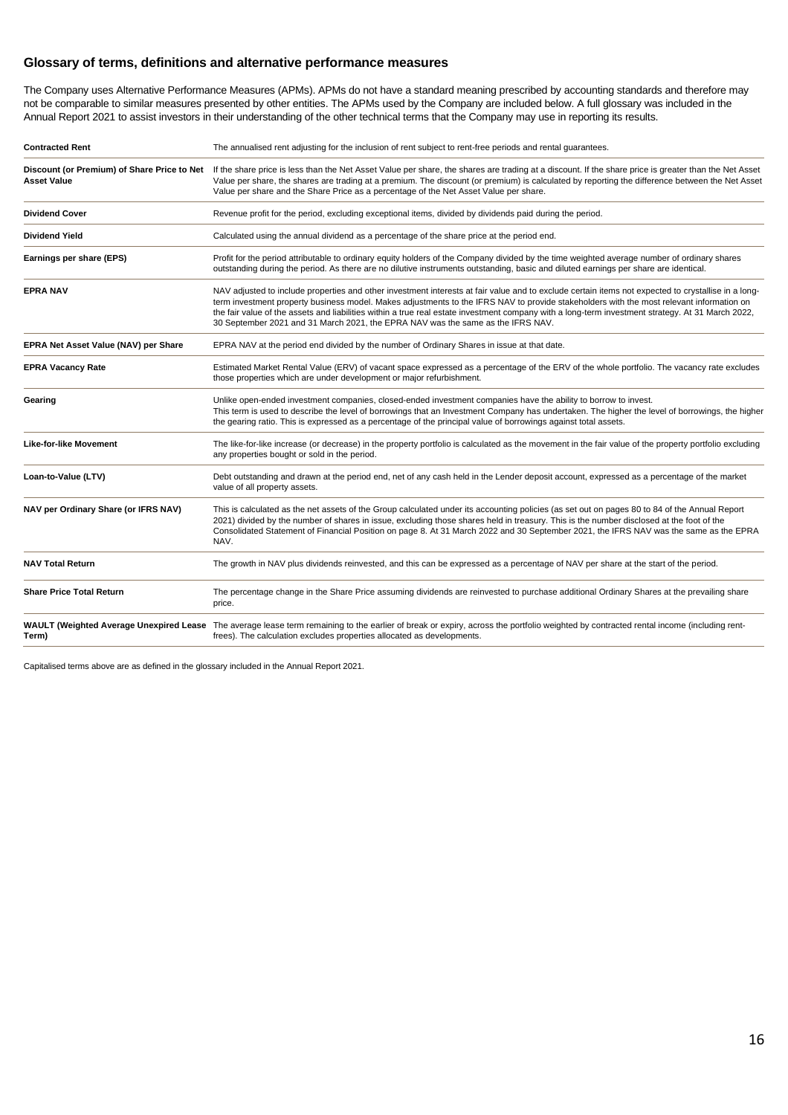## **Glossary of terms, definitions and alternative performance measures**

The Company uses Alternative Performance Measures (APMs). APMs do not have a standard meaning prescribed by accounting standards and therefore may not be comparable to similar measures presented by other entities. The APMs used by the Company are included below. A full glossary was included in the Annual Report 2021 to assist investors in their understanding of the other technical terms that the Company may use in reporting its results.

| <b>Contracted Rent</b>                                            | The annualised rent adjusting for the inclusion of rent subject to rent-free periods and rental guarantees.                                                                                                                                                                                                                                                                                                                                                                                                                             |
|-------------------------------------------------------------------|-----------------------------------------------------------------------------------------------------------------------------------------------------------------------------------------------------------------------------------------------------------------------------------------------------------------------------------------------------------------------------------------------------------------------------------------------------------------------------------------------------------------------------------------|
| Discount (or Premium) of Share Price to Net<br><b>Asset Value</b> | If the share price is less than the Net Asset Value per share, the shares are trading at a discount. If the share price is greater than the Net Asset<br>Value per share, the shares are trading at a premium. The discount (or premium) is calculated by reporting the difference between the Net Asset<br>Value per share and the Share Price as a percentage of the Net Asset Value per share.                                                                                                                                       |
| <b>Dividend Cover</b>                                             | Revenue profit for the period, excluding exceptional items, divided by dividends paid during the period.                                                                                                                                                                                                                                                                                                                                                                                                                                |
| <b>Dividend Yield</b>                                             | Calculated using the annual dividend as a percentage of the share price at the period end.                                                                                                                                                                                                                                                                                                                                                                                                                                              |
| Earnings per share (EPS)                                          | Profit for the period attributable to ordinary equity holders of the Company divided by the time weighted average number of ordinary shares<br>outstanding during the period. As there are no dilutive instruments outstanding, basic and diluted earnings per share are identical.                                                                                                                                                                                                                                                     |
| <b>EPRA NAV</b>                                                   | NAV adjusted to include properties and other investment interests at fair value and to exclude certain items not expected to crystallise in a long-<br>term investment property business model. Makes adjustments to the IFRS NAV to provide stakeholders with the most relevant information on<br>the fair value of the assets and liabilities within a true real estate investment company with a long-term investment strategy. At 31 March 2022,<br>30 September 2021 and 31 March 2021, the EPRA NAV was the same as the IFRS NAV. |
| EPRA Net Asset Value (NAV) per Share                              | EPRA NAV at the period end divided by the number of Ordinary Shares in issue at that date.                                                                                                                                                                                                                                                                                                                                                                                                                                              |
| <b>EPRA Vacancy Rate</b>                                          | Estimated Market Rental Value (ERV) of vacant space expressed as a percentage of the ERV of the whole portfolio. The vacancy rate excludes<br>those properties which are under development or major refurbishment.                                                                                                                                                                                                                                                                                                                      |
| Gearing                                                           | Unlike open-ended investment companies, closed-ended investment companies have the ability to borrow to invest.<br>This term is used to describe the level of borrowings that an Investment Company has undertaken. The higher the level of borrowings, the higher<br>the gearing ratio. This is expressed as a percentage of the principal value of borrowings against total assets.                                                                                                                                                   |
| <b>Like-for-like Movement</b>                                     | The like-for-like increase (or decrease) in the property portfolio is calculated as the movement in the fair value of the property portfolio excluding<br>any properties bought or sold in the period.                                                                                                                                                                                                                                                                                                                                  |
| Loan-to-Value (LTV)                                               | Debt outstanding and drawn at the period end, net of any cash held in the Lender deposit account, expressed as a percentage of the market<br>value of all property assets.                                                                                                                                                                                                                                                                                                                                                              |
| NAV per Ordinary Share (or IFRS NAV)                              | This is calculated as the net assets of the Group calculated under its accounting policies (as set out on pages 80 to 84 of the Annual Report<br>2021) divided by the number of shares in issue, excluding those shares held in treasury. This is the number disclosed at the foot of the<br>Consolidated Statement of Financial Position on page 8. At 31 March 2022 and 30 September 2021, the IFRS NAV was the same as the EPRA<br>NAV.                                                                                              |
| <b>NAV Total Return</b>                                           | The growth in NAV plus dividends reinvested, and this can be expressed as a percentage of NAV per share at the start of the period.                                                                                                                                                                                                                                                                                                                                                                                                     |
| <b>Share Price Total Return</b>                                   | The percentage change in the Share Price assuming dividends are reinvested to purchase additional Ordinary Shares at the prevailing share<br>price.                                                                                                                                                                                                                                                                                                                                                                                     |
| Term)                                                             | WAULT (Weighted Average Unexpired Lease The average lease term remaining to the earlier of break or expiry, across the portfolio weighted by contracted rental income (including rent-<br>frees). The calculation excludes properties allocated as developments.                                                                                                                                                                                                                                                                        |

Capitalised terms above are as defined in the glossary included in the Annual Report 2021.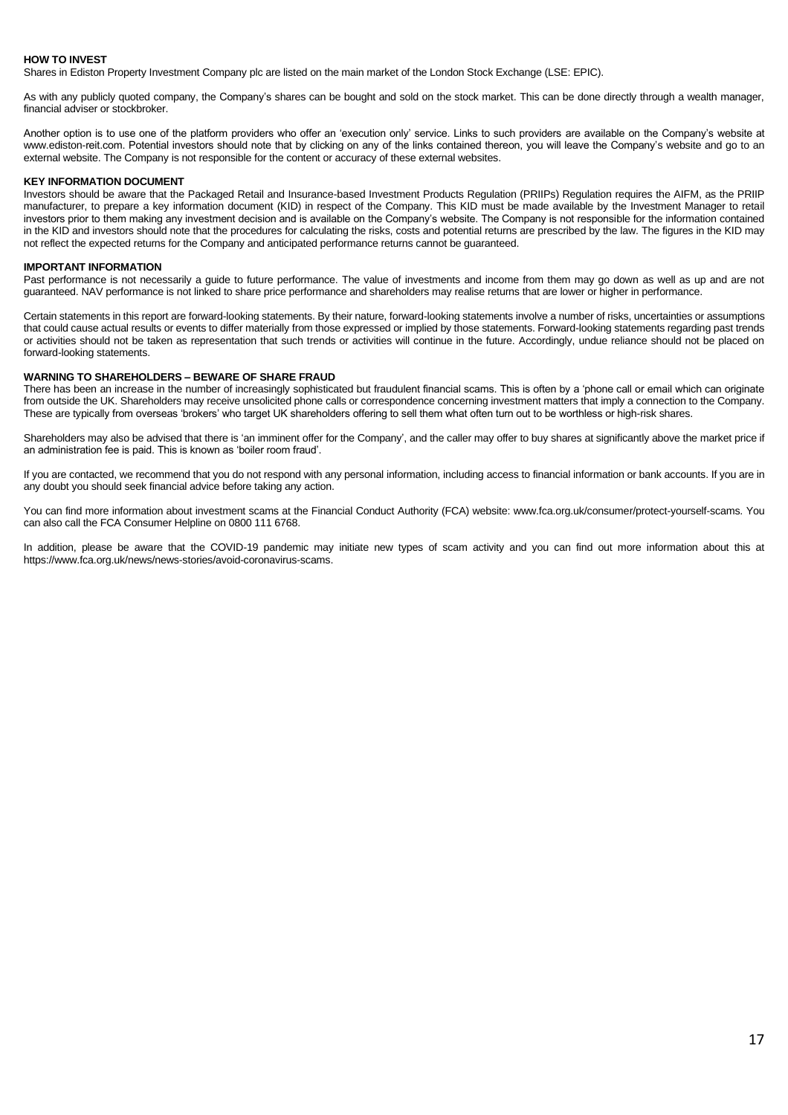#### **HOW TO INVEST**

Shares in Ediston Property Investment Company plc are listed on the main market of the London Stock Exchange (LSE: EPIC).

As with any publicly quoted company, the Company's shares can be bought and sold on the stock market. This can be done directly through a wealth manager, financial adviser or stockbroker.

Another option is to use one of the platform providers who offer an 'execution only' service. Links to such providers are available on the Company's website at www.ediston-reit.com. Potential investors should note that by clicking on any of the links contained thereon, you will leave the Company's website and go to an external website. The Company is not responsible for the content or accuracy of these external websites.

#### **KEY INFORMATION DOCUMENT**

Investors should be aware that the Packaged Retail and Insurance-based Investment Products Regulation (PRIIPs) Regulation requires the AIFM, as the PRIIP manufacturer, to prepare a key information document (KID) in respect of the Company. This KID must be made available by the Investment Manager to retail investors prior to them making any investment decision and is available on the Company's website. The Company is not responsible for the information contained in the KID and investors should note that the procedures for calculating the risks, costs and potential returns are prescribed by the law. The figures in the KID may not reflect the expected returns for the Company and anticipated performance returns cannot be guaranteed.

#### **IMPORTANT INFORMATION**

Past performance is not necessarily a quide to future performance. The value of investments and income from them may go down as well as up and are not guaranteed. NAV performance is not linked to share price performance and shareholders may realise returns that are lower or higher in performance.

Certain statements in this report are forward-looking statements. By their nature, forward-looking statements involve a number of risks, uncertainties or assumptions that could cause actual results or events to differ materially from those expressed or implied by those statements. Forward-looking statements regarding past trends or activities should not be taken as representation that such trends or activities will continue in the future. Accordingly, undue reliance should not be placed on forward-looking statements.

#### **WARNING TO SHAREHOLDERS – BEWARE OF SHARE FRAUD**

There has been an increase in the number of increasingly sophisticated but fraudulent financial scams. This is often by a 'phone call or email which can originate from outside the UK. Shareholders may receive unsolicited phone calls or correspondence concerning investment matters that imply a connection to the Company. These are typically from overseas 'brokers' who target UK shareholders offering to sell them what often turn out to be worthless or high-risk shares.

Shareholders may also be advised that there is 'an imminent offer for the Company', and the caller may offer to buy shares at significantly above the market price if an administration fee is paid. This is known as 'boiler room fraud'.

If you are contacted, we recommend that you do not respond with any personal information, including access to financial information or bank accounts. If you are in any doubt you should seek financial advice before taking any action.

You can find more information about investment scams at the Financial Conduct Authority (FCA) website: www.fca.org.uk/consumer/protect-yourself-scams. You can also call the FCA Consumer Helpline on 0800 111 6768.

In addition, please be aware that the COVID-19 pandemic may initiate new types of scam activity and you can find out more information about this at https://www.fca.org.uk/news/news-stories/avoid-coronavirus-scams.